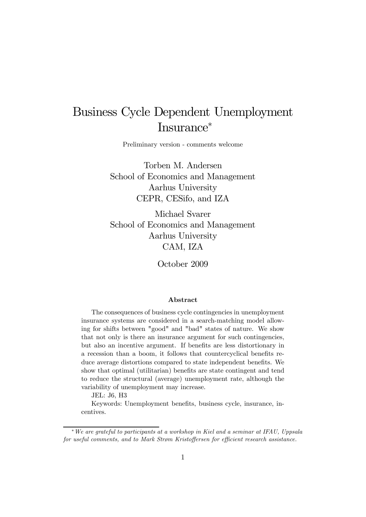# Business Cycle Dependent Unemployment Insurance<sup>∗</sup>

Preliminary version - comments welcome

Torben M. Andersen School of Economics and Management Aarhus University CEPR, CESifo, and IZA

Michael Svarer School of Economics and Management Aarhus University CAM, IZA

October 2009

#### Abstract

The consequences of business cycle contingencies in unemployment insurance systems are considered in a search-matching model allowing for shifts between "good" and "bad" states of nature. We show that not only is there an insurance argument for such contingencies, but also an incentive argument. If benefits are less distortionary in a recession than a boom, it follows that countercyclical benefits reduce average distortions compared to state independent benefits. We show that optimal (utilitarian) benefits are state contingent and tend to reduce the structural (average) unemployment rate, although the variability of unemployment may increase.

JEL: J6, H3

Keywords: Unemployment benefits, business cycle, insurance, incentives.

<sup>∗</sup>We are grateful to participants at a workshop in Kiel and a seminar at IFAU, Uppsala for useful comments, and to Mark Strøm Kristoffersen for efficient research assistance.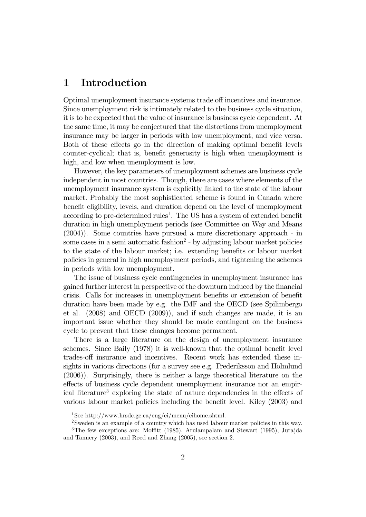### 1 Introduction

Optimal unemployment insurance systems trade off incentives and insurance. Since unemployment risk is intimately related to the business cycle situation, it is to be expected that the value of insurance is business cycle dependent. At the same time, it may be conjectured that the distortions from unemployment insurance may be larger in periods with low unemployment, and vice versa. Both of these effects go in the direction of making optimal benefit levels counter-cyclical; that is, benefit generosity is high when unemployment is high, and low when unemployment is low.

However, the key parameters of unemployment schemes are business cycle independent in most countries. Though, there are cases where elements of the unemployment insurance system is explicitly linked to the state of the labour market. Probably the most sophisticated scheme is found in Canada where benefit eligibility, levels, and duration depend on the level of unemployment according to pre-determined rules<sup>1</sup>. The US has a system of extended benefit duration in high unemployment periods (see Committee on Way and Means (2004)). Some countries have pursued a more discretionary approach - in some cases in a semi automatic fashion<sup>2</sup> - by adjusting labour market policies to the state of the labour market; i.e. extending benefits or labour market policies in general in high unemployment periods, and tightening the schemes in periods with low unemployment.

The issue of business cycle contingencies in unemployment insurance has gained further interest in perspective of the downturn induced by the financial crisis. Calls for increases in unemployment benefits or extension of benefit duration have been made by e.g. the IMF and the OECD (see Spilimbergo et al. (2008) and OECD (2009)), and if such changes are made, it is an important issue whether they should be made contingent on the business cycle to prevent that these changes become permanent.

There is a large literature on the design of unemployment insurance schemes. Since Baily (1978) it is well-known that the optimal benefit level trades-off insurance and incentives. Recent work has extended these insights in various directions (for a survey see e.g. Frederiksson and Holmlund (2006)). Surprisingly, there is neither a large theoretical literature on the effects of business cycle dependent unemployment insurance nor an empirical literature3 exploring the state of nature dependencies in the effects of various labour market policies including the benefit level. Kiley (2003) and

<sup>&</sup>lt;sup>1</sup>See http://www.hrsdc.gc.ca/eng/ei/menu/eihome.shtml.

<sup>&</sup>lt;sup>2</sup>Sweden is an example of a country which has used labour market policies in this way. 3The few exceptions are: Moffitt (1985), Arulampalam and Stewart (1995), Jurajda

and Tannery (2003), and Røed and Zhang (2005), see section 2.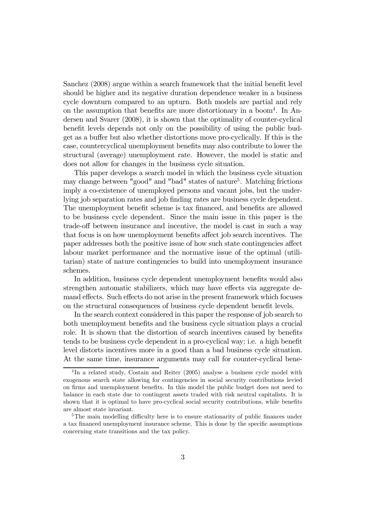Sanchez (2008) argue within a search framework that the initial benefit level should be higher and its negative duration dependence weaker in a business cycle downturn compared to an upturn. Both models are partial and rely on the assumption that benefits are more distortionary in a boom4. In Andersen and Svarer (2008), it is shown that the optimality of counter-cyclical benefit levels depends not only on the possibility of using the public budget as a buffer but also whether distortions move pro-cyclically. If this is the case, countercyclical unemployment benefits may also contribute to lower the structural (average) unemployment rate. However, the model is static and does not allow for changes in the business cycle situation.

This paper develops a search model in which the business cycle situation may change between "good" and "bad" states of nature<sup>5</sup>. Matching frictions imply a co-existence of unemployed persons and vacant jobs, but the underlying job separation rates and job finding rates are business cycle dependent. The unemployment benefit scheme is tax financed, and benefits are allowed to be business cycle dependent. Since the main issue in this paper is the trade-off between insurance and incentive, the model is cast in such a way that focus is on how unemployment benefits affect job search incentives. The paper addresses both the positive issue of how such state contingencies affect labour market performance and the normative issue of the optimal (utilitarian) state of nature contingencies to build into unemployment insurance schemes.

In addition, business cycle dependent unemployment benefits would also strengthen automatic stabilizers, which may have effects via aggregate demand effects. Such effects do not arise in the present framework which focuses on the structural consequences of business cycle dependent benefit levels.

In the search context considered in this paper the response of job search to both unemployment benefits and the business cycle situation plays a crucial role. It is shown that the distortion of search incentives caused by benefits tends to be business cycle dependent in a pro-cyclical way; i.e. a high benefit level distorts incentives more in a good than a bad business cycle situation. At the same time, insurance arguments may call for counter-cyclical bene-

<sup>&</sup>lt;sup>4</sup>In a related study, Costain and Reiter (2005) analyse a business cycle model with exogenous search state allowing for contingencies in social security contributions levied on firms and unemployment benefits. In this model the public budget does not need to balance in each state due to contingent assets traded with risk neutral capitalists. It is shown that it is optimal to have pro-cyclical social security contributions, while benefits are almost state invariant.

<sup>&</sup>lt;sup>5</sup>The main modelling difficulty here is to ensure stationarity of public finances under a tax financed unemployment insurance scheme. This is done by the specific assumptions concerning state transitions and the tax policy.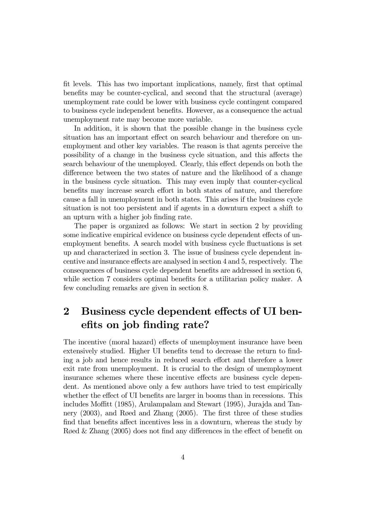fit levels. This has two important implications, namely, first that optimal benefits may be counter-cyclical, and second that the structural (average) unemployment rate could be lower with business cycle contingent compared to business cycle independent benefits. However, as a consequence the actual unemployment rate may become more variable.

In addition, it is shown that the possible change in the business cycle situation has an important effect on search behaviour and therefore on unemployment and other key variables. The reason is that agents perceive the possibility of a change in the business cycle situation, and this affects the search behaviour of the unemployed. Clearly, this effect depends on both the difference between the two states of nature and the likelihood of a change in the business cycle situation. This may even imply that counter-cyclical benefits may increase search effort in both states of nature, and therefore cause a fall in unemployment in both states. This arises if the business cycle situation is not too persistent and if agents in a downturn expect a shift to an upturn with a higher job finding rate.

The paper is organized as follows: We start in section 2 by providing some indicative empirical evidence on business cycle dependent effects of unemployment benefits. A search model with business cycle fluctuations is set up and characterized in section 3. The issue of business cycle dependent incentive and insurance effects are analysed in section 4 and 5, respectively. The consequences of business cycle dependent benefits are addressed in section 6, while section 7 considers optimal benefits for a utilitarian policy maker. A few concluding remarks are given in section 8.

## 2 Business cycle dependent effects of UI benefits on job finding rate?

The incentive (moral hazard) effects of unemployment insurance have been extensively studied. Higher UI benefits tend to decrease the return to finding a job and hence results in reduced search effort and therefore a lower exit rate from unemployment. It is crucial to the design of unemployment insurance schemes where these incentive effects are business cycle dependent. As mentioned above only a few authors have tried to test empirically whether the effect of UI benefits are larger in booms than in recessions. This includes Moffitt (1985), Arulampalam and Stewart (1995), Jurajda and Tannery (2003), and Røed and Zhang (2005). The first three of these studies find that benefits affect incentives less in a downturn, whereas the study by Røed & Zhang (2005) does not find any differences in the effect of benefit on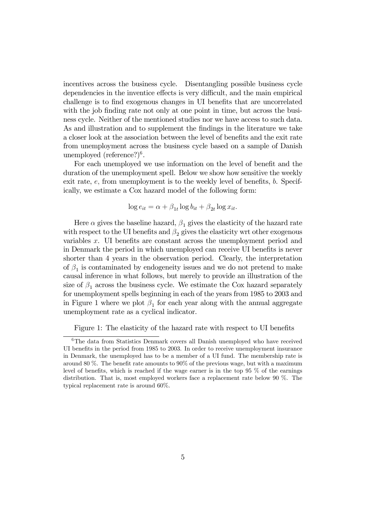incentives across the business cycle. Disentangling possible business cycle dependencies in the inventice effects is very difficult, and the main empirical challenge is to find exogenous changes in UI benefits that are uncorrelated with the job finding rate not only at one point in time, but across the business cycle. Neither of the mentioned studies nor we have access to such data. As and illustration and to supplement the findings in the literature we take a closer look at the association between the level of benefits and the exit rate from unemployment across the business cycle based on a sample of Danish unemployed (reference?)<sup>6</sup>.

For each unemployed we use information on the level of benefit and the duration of the unemployment spell. Below we show how sensitive the weekly exit rate, e, from unemployment is to the weekly level of benefits, b. Specifically, we estimate a Cox hazard model of the following form:

$$
\log e_{it} = \alpha + \beta_{1t} \log b_{it} + \beta_{2t} \log x_{it}.
$$

Here  $\alpha$  gives the baseline hazard,  $\beta_1$  gives the elasticity of the hazard rate with respect to the UI benefits and  $\beta_2$  gives the elasticity wrt other exogenous variables x. UI benefits are constant across the unemployment period and in Denmark the period in which unemployed can receive UI benefits is never shorter than 4 years in the observation period. Clearly, the interpretation of  $\beta_1$  is contaminated by endogeneity issues and we do not pretend to make causal inference in what follows, but merely to provide an illustration of the size of  $\beta_1$  across the business cycle. We estimate the Cox hazard separately for unemployment spells beginning in each of the years from 1985 to 2003 and in Figure 1 where we plot  $\beta_1$  for each year along with the annual aggregate unemployment rate as a cyclical indicator.

Figure 1: The elasticity of the hazard rate with respect to UI benefits

<sup>&</sup>lt;sup>6</sup>The data from Statistics Denmark covers all Danish unemployed who have received UI benefits in the period from 1985 to 2003. In order to receive unemployment insurance in Denmark, the unemployed has to be a member of a UI fund. The membership rate is around 80 %. The benefit rate amounts to 90% of the previous wage, but with a maximum level of benefits, which is reached if the wage earner is in the top 95 % of the earnings distribution. That is, most employed workers face a replacement rate below 90 %. The typical replacement rate is around 60%.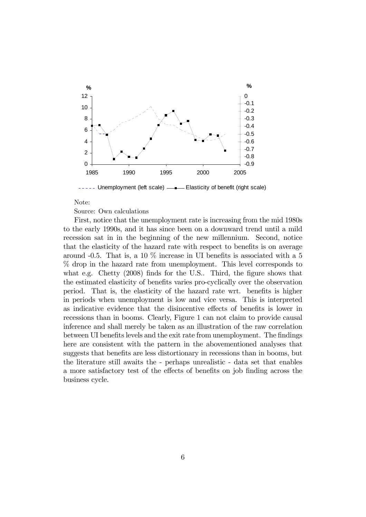

----- Unemployment (left scale) - Elasticity of benefit (right scale)

#### Note:

Source: Own calculations

First, notice that the unemployment rate is increasing from the mid 1980s to the early 1990s, and it has since been on a downward trend until a mild recession sat in in the beginning of the new millennium. Second, notice that the elasticity of the hazard rate with respect to benefits is on average around  $-0.5$ . That is, a 10 % increase in UI benefits is associated with a 5 % drop in the hazard rate from unemployment. This level corresponds to what e.g. Chetty (2008) finds for the U.S.. Third, the figure shows that the estimated elasticity of benefits varies pro-cyclically over the observation period. That is, the elasticity of the hazard rate wrt. benefits is higher in periods when unemployment is low and vice versa. This is interpreted as indicative evidence that the disincentive effects of benefits is lower in recessions than in booms. Clearly, Figure 1 can not claim to provide causal inference and shall merely be taken as an illustration of the raw correlation between UI benefits levels and the exit rate from unemployment. The findings here are consistent with the pattern in the abovementioned analyses that suggests that benefits are less distortionary in recessions than in booms, but the literature still awaits the - perhaps unrealistic - data set that enables a more satisfactory test of the effects of benefits on job finding across the business cycle.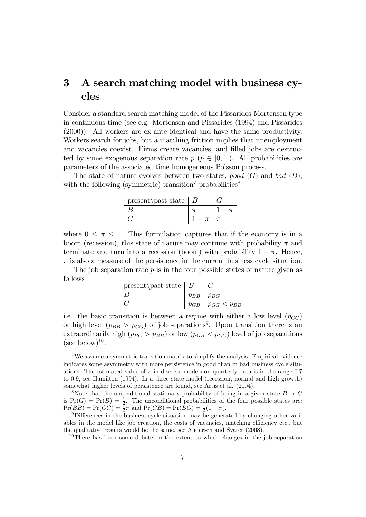## 3 A search matching model with business cycles

Consider a standard search matching model of the Pissarides-Mortensen type in continuous time (see e.g. Mortensen and Pissarides (1994) and Pissarides (2000)). All workers are ex-ante identical and have the same productivity. Workers search for jobs, but a matching friction implies that unemployment and vacancies coexist. Firms create vacancies, and filled jobs are destructed by some exogenous separation rate  $p \ (p \in [0,1])$ . All probabilities are parameters of the associated time homogeneous Poisson process.

The state of nature evolves between two states, good  $(G)$  and bad  $(B)$ , with the following (symmetric) transition<sup>7</sup> probabilities<sup>8</sup>

| present \past state $ B $ |         |  |
|---------------------------|---------|--|
|                           |         |  |
|                           | $1-\pi$ |  |

where  $0 \leq \pi \leq 1$ . This formulation captures that if the economy is in a boom (recession), this state of nature may continue with probability  $\pi$  and terminate and turn into a recession (boom) with probability  $1 - \pi$ . Hence,  $\pi$  is also a measure of the persistence in the current business cycle situation.

The job separation rate  $p$  is in the four possible states of nature given as follows

| present past state $ B $ |                                                                  |                                 |
|--------------------------|------------------------------------------------------------------|---------------------------------|
| B                        | $\begin{array}{ c c } \hline p_{BB} & p_{BG} \hline \end{array}$ |                                 |
| G                        |                                                                  | $ p_{GB} \quad p_{GG} < p_{BB}$ |

i.e. the basic transition is between a regime with either a low level  $(p_{GG})$ or high level  $(p_{BB} > p_{GG})$  of job separations<sup>9</sup>. Upon transition there is an extraordinarily high  $(p_{BG} > p_{BB})$  or low  $(p_{GB} < p_{GG})$  level of job separations (see below)<sup>10</sup>.

<sup>7</sup>We assume a symmetric transition matrix to simplify the analysis. Empirical evidence indicates some asymmetry with more persistence in good than in bad business cycle situations. The estimated value of  $\pi$  in discrete models on quarterly data is in the range 0.7 to 0.9, see Hamilton (1994). In a three state model (recession, normal and high growth) somewhat higher levels of persistence are found, see Artis et al. (2004).

<sup>&</sup>lt;sup>8</sup>Note that the unconditional stationary probability of being in a given state  $B$  or  $G$ is  $Pr(G) = Pr(B) = \frac{1}{2}$ . The unconditional probabilities of the four possible states are:  $\Pr(BB) = \Pr(GG) = \frac{1}{2}\pi$  and  $\Pr(GB) = \Pr(BG) = \frac{1}{2}$ 

<sup>&</sup>lt;sup>9</sup>Differences in the business cycle situation may be generated by changing other variables in the model like job creation, the costs of vacancies, matching efficiency etc., but the qualitative results would be the same, see Andersen and Svarer (2008).

<sup>&</sup>lt;sup>10</sup>There has been some debate on the extent to which changes in the job separation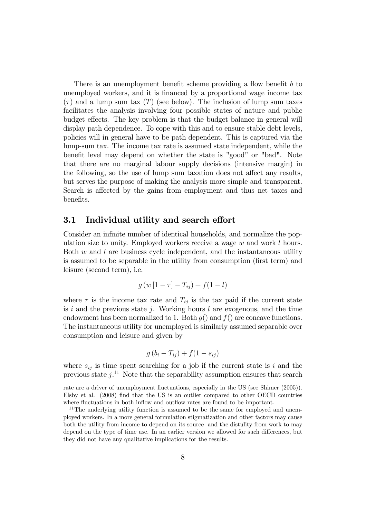There is an unemployment benefit scheme providing a flow benefit b to unemployed workers, and it is financed by a proportional wage income tax  $(\tau)$  and a lump sum tax  $(T)$  (see below). The inclusion of lump sum taxes facilitates the analysis involving four possible states of nature and public budget effects. The key problem is that the budget balance in general will display path dependence. To cope with this and to ensure stable debt levels, policies will in general have to be path dependent. This is captured via the lump-sum tax. The income tax rate is assumed state independent, while the benefit level may depend on whether the state is "good" or "bad". Note that there are no marginal labour supply decisions (intensive margin) in the following, so the use of lump sum taxation does not affect any results, but serves the purpose of making the analysis more simple and transparent. Search is affected by the gains from employment and thus net taxes and benefits.

### 3.1 Individual utility and search effort

Consider an infinite number of identical households, and normalize the population size to unity. Employed workers receive a wage  $w$  and work  $l$  hours. Both  $w$  and  $l$  are business cycle independent, and the instantaneous utility is assumed to be separable in the utility from consumption (first term) and leisure (second term), i.e.

$$
g(w[1-\tau]-T_{ij})+f(1-l)
$$

where  $\tau$  is the income tax rate and  $T_{ij}$  is the tax paid if the current state is i and the previous state j. Working hours l are exogenous, and the time endowment has been normalized to 1. Both  $g()$  and  $f()$  are concave functions. The instantaneous utility for unemployed is similarly assumed separable over consumption and leisure and given by

$$
g\left(b_i-T_{ij}\right)+f(1-s_{ij})
$$

where  $s_{ij}$  is time spent searching for a job if the current state is i and the previous state  $j$ <sup>11</sup> Note that the separability assumption ensures that search

rate are a driver of unemployment fluctuations, especially in the US (see Shimer (2005)). Elsby et al. (2008) find that the US is an outlier compared to other OECD countries where fluctuations in both inflow and outflow rates are found to be important.

<sup>&</sup>lt;sup>11</sup>The underlying utility function is assumed to be the same for employed and unemployed workers. In a more general formulation stigmatization and other factors may cause both the utility from income to depend on its source and the distulity from work to may depend on the type of time use. In an earlier version we allowed for such differences, but they did not have any qualitative implications for the results.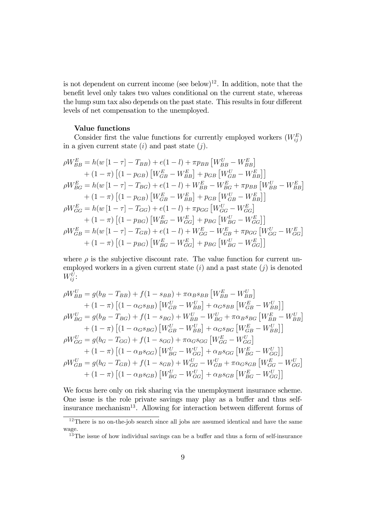is not dependent on current income (see below)<sup>12</sup>. In addition, note that the benefit level only takes two values conditional on the current state, whereas the lump sum tax also depends on the past state. This results in four different levels of net compensation to the unemployed.

#### Value functions

Consider first the value functions for currently employed workers  $(W_{ij}^E)$ in a given current state  $(i)$  and past state  $(j)$ .

$$
\rho W_{BB}^{E} = h(w[1 - \tau] - T_{BB}) + e(1 - l) + \pi p_{BB} [W_{BB}^{U} - W_{BB}^{E}] \n+ (1 - \pi) [(1 - p_{GB}) [W_{GB}^{E} - W_{BB}^{E}] + p_{GB} [W_{GB}^{U} - W_{BB}^{E}]] \n\rho W_{BG}^{E} = h(w[1 - \tau] - T_{BG}) + e(1 - l) + W_{BB}^{E} - W_{BG}^{E} + \pi p_{BB} [W_{BB}^{U} - W_{BB}^{E}] \n+ (1 - \pi) [(1 - p_{GB}) [W_{GB}^{E} - W_{BB}^{E}] + p_{GB} [W_{GB}^{U} - W_{BB}^{E}]] \n\rho W_{GG}^{E} = h(w[1 - \tau] - T_{GG}) + e(1 - l) + \pi p_{GG} [W_{GG}^{U} - W_{GG}^{E}] \n+ (1 - \pi) [(1 - p_{BG}) [W_{BG}^{E} - W_{GG}^{E}] + p_{BG} [W_{BG}^{U} - W_{GG}^{E}] \n\rho W_{GB}^{E} = h(w[1 - \tau] - T_{GB}) + e(1 - l) + W_{GG}^{E} - W_{GB}^{E} + \pi p_{GG} [W_{GG}^{U} - W_{GG}^{E}] \n+ (1 - \pi) [(1 - p_{BG}) [W_{BG}^{E} - W_{GG}^{E}] + p_{BG} [W_{BG}^{U} - W_{GG}^{E}]]
$$

where  $\rho$  is the subjective discount rate. The value function for current unemployed workers in a given current state  $(i)$  and a past state  $(j)$  is denoted  $W_{ij}^U$ :

$$
\rho W_{BB}^{U} = g(b_B - T_{BB}) + f(1 - s_{BB}) + \pi \alpha_B s_{BB} \left[W_{BB}^{E} - W_{BB}^{U}\right] \n+ (1 - \pi) \left[ (1 - \alpha_G s_{BB}) \left[W_{GB}^{U} - W_{BB}^{U}\right] + \alpha_G s_{BB} \left[W_{GB}^{E} - W_{BB}^{U}\right] \right] \n\rho W_{BG}^{U} = g(b_B - T_{BG}) + f(1 - s_{BG}) + W_{BB}^{U} - W_{BG}^{U} + \pi \alpha_B s_{BG} \left[W_{BB}^{E} - W_{BB}^{U}\right] \n+ (1 - \pi) \left[ (1 - \alpha_G s_{BG}) \left[W_{GB}^{U} - W_{BB}^{U}\right] + \alpha_G s_{BG} \left[W_{GB}^{E} - W_{BB}^{U}\right] \right] \n\rho W_{GG}^{U} = g(b_G - T_{GG}) + f(1 - s_{GG}) + \pi \alpha_G s_{GG} \left[W_{GG}^{E} - W_{GG}^{U}\right] \n+ (1 - \pi) \left[ (1 - \alpha_B s_{GG}) \left[W_{BG}^{U} - W_{GG}^{U}\right] + \alpha_B s_{GG} \left[W_{BG}^{E} - W_{GG}^{U}\right] \right] \n\rho W_{GB}^{U} = g(b_G - T_{GB}) + f(1 - s_{GB}) + W_{GG}^{U} - W_{GB}^{U} + \pi \alpha_G s_{GB} \left[W_{GG}^{E} - W_{GG}^{U}\right] \n+ (1 - \pi) \left[ (1 - \alpha_B s_{GB}) \left[W_{BG}^{U} - W_{GG}^{U}\right] + \alpha_B s_{GB} \left[W_{BG}^{E} - W_{GG}^{U}\right] \right]
$$

We focus here only on risk sharing via the unemployment insurance scheme. One issue is the role private savings may play as a buffer and thus selfinsurance mechanism13. Allowing for interaction between different forms of

<sup>&</sup>lt;sup>12</sup>There is no on-the-job search since all jobs are assumed identical and have the same wage.

<sup>&</sup>lt;sup>13</sup>The issue of how individual savings can be a buffer and thus a form of self-insurance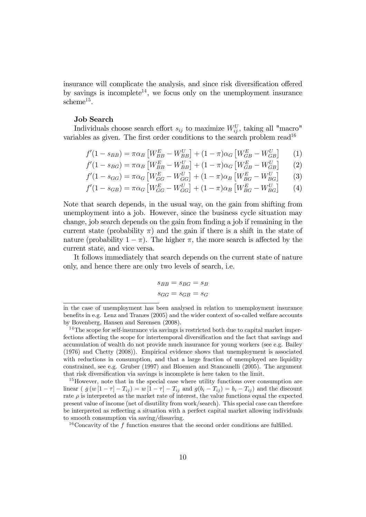insurance will complicate the analysis, and since risk diversification offered by savings is incomplete<sup>14</sup>, we focus only on the unemployment insurance  $scheme<sup>15</sup>$ .

#### Job Search

Individuals choose search effort  $s_{ij}$  to maximize  $W_{ij}^U$ , taking all "macro" variables as given. The first order conditions to the search problem read<sup>16</sup>

$$
f'(1 - s_{BB}) = \pi \alpha_B \left[ W_{BB}^E - W_{BB}^U \right] + (1 - \pi) \alpha_G \left[ W_{GB}^E - W_{GB}^U \right] \tag{1}
$$

$$
f'(1 - s_{BG}) = \pi \alpha_B \left[ W_{BB}^E - W_{BB}^U \right] + (1 - \pi) \alpha_G \left[ W_{GB}^E - W_{GB}^U \right] \tag{2}
$$

$$
f'(1 - s_{GG}) = \pi \alpha_G \left[ W_{GG}^E - W_{GG}^U \right] + (1 - \pi) \alpha_B \left[ W_{BG}^E - W_{BG}^U \right] \tag{3}
$$

$$
f'(1 - s_{GB}) = \pi \alpha_G \left[ W_{GG}^E - W_{GG}^U \right] + (1 - \pi) \alpha_B \left[ W_{BG}^E - W_{BG}^U \right] \tag{4}
$$

Note that search depends, in the usual way, on the gain from shifting from unemployment into a job. However, since the business cycle situation may change, job search depends on the gain from finding a job if remaining in the current state (probability  $\pi$ ) and the gain if there is a shift in the state of nature (probability  $1 - \pi$ ). The higher  $\pi$ , the more search is affected by the current state, and vice versa.

It follows immediately that search depends on the current state of nature only, and hence there are only two levels of search, i.e.

$$
s_{BB} = s_{BG} = s_B
$$
  

$$
s_{GG} = s_{GB} = s_G
$$

in the case of unemployment has been analysed in relation to unemployment insurance benefits in e.g. Lenz and Tranæs (2005) and the wider context of so-called welfare accounts by Bovenberg, Hansen and Sørensen (2008).

<sup>&</sup>lt;sup>14</sup>The scope for self-insurance via savings is restricted both due to capital market imperfections affecting the scope for intertemporal diversification and the fact that savings and accumulation of wealth do not provide much insurance for young workers (see e.g. Bailey (1976) and Chetty (2008)). Empirical evidence shows that unemployment is associated with reductions in consumption, and that a large fraction of unemployed are liquidity constrained, see e.g. Gruber (1997) and Bloemen and Stancanelli (2005). The argument that risk diversification via savings is incomplete is here taken to the limit.

<sup>15</sup>However, note that in the special case where utility functions over consumption are linear (  $g(w[1 - \tau] - T_{ij}) = w[1 - \tau] - T_{ij}$  and  $g(b_i - T_{ij}) = b_i - T_{ij}$ ) and the discount rate  $\rho$  is interpreted as the market rate of interest, the value functions equal the expected present value of income (net of disutility from work/search). This special case can therefore be interpreted as reflecting a situation with a perfect capital market allowing individuals to smooth consumption via saving/dissaving.

<sup>&</sup>lt;sup>16</sup>Concavity of the f function ensures that the second order conditions are fulfilled.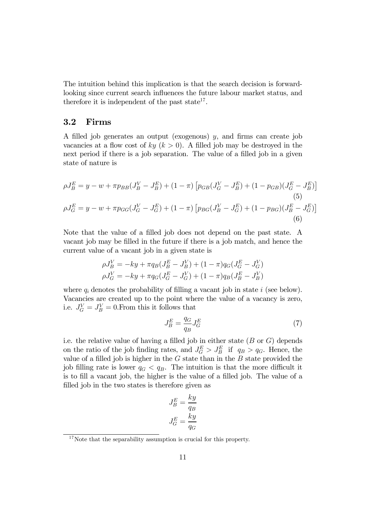The intuition behind this implication is that the search decision is forwardlooking since current search influences the future labour market status, and therefore it is independent of the past state<sup>17</sup>.

### 3.2 Firms

A filled job generates an output (exogenous) y, and firms can create job vacancies at a flow cost of  $ky (k > 0)$ . A filled job may be destroyed in the next period if there is a job separation. The value of a filled job in a given state of nature is

$$
\rho J_B^E = y - w + \pi p_{BB} (J_B^V - J_B^E) + (1 - \pi) \left[ p_{GB} (J_G^V - J_B^E) + (1 - p_{GB}) (J_G^E - J_B^E) \right]
$$
  
\n
$$
\rho J_G^E = y - w + \pi p_{GG} (J_G^V - J_G^E) + (1 - \pi) \left[ p_{BG} (J_B^V - J_G^E) + (1 - p_{BG}) (J_B^E - J_G^E) \right]
$$
  
\n(6)

Note that the value of a filled job does not depend on the past state. A vacant job may be filled in the future if there is a job match, and hence the current value of a vacant job in a given state is

$$
\rho J_B^V = -ky + \pi q_B (J_B^E - J_B^V) + (1 - \pi) q_G (J_G^E - J_G^V) \n\rho J_G^V = -ky + \pi q_G (J_G^E - J_G^V) + (1 - \pi) q_B (J_B^E - J_B^V)
$$

where  $q_i$  denotes the probability of filling a vacant job in state i (see below). Vacancies are created up to the point where the value of a vacancy is zero, i.e.  $J_G^V = J_B^V = 0$ . From this it follows that

$$
J_B^E = \frac{q_G}{q_B} J_G^E \tag{7}
$$

i.e. the relative value of having a filled job in either state  $(B \text{ or } G)$  depends on the ratio of the job finding rates, and  $J_G^E > J_B^E$  if  $q_B > q_G$ . Hence, the value of a filled job is higher in the  $G$  state than in the  $B$  state provided the job filling rate is lower  $q_G < q_B$ . The intuition is that the more difficult it is to fill a vacant job, the higher is the value of a filled job. The value of a filled job in the two states is therefore given as

$$
J_B^E = \frac{ky}{q_B}
$$

$$
J_G^E = \frac{ky}{q_G}
$$

<sup>&</sup>lt;sup>17</sup>Note that the separability assumption is crucial for this property.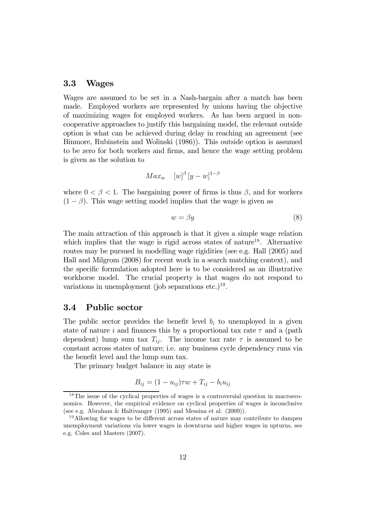#### 3.3 Wages

Wages are assumed to be set in a Nash-bargain after a match has been made. Employed workers are represented by unions having the objective of maximizing wages for employed workers. As has been argued in noncooperative approaches to justify this bargaining model, the relevant outside option is what can be achieved during delay in reaching an agreement (see Binmore, Rubinstein and Wolinski (1986)). This outside option is assumed to be zero for both workers and firms, and hence the wage setting problem is given as the solution to

$$
Max_w \quad [w]^\beta \left[ y - w \right]^{1 - \beta}
$$

where  $0 < \beta < 1$ . The bargaining power of firms is thus  $\beta$ , and for workers  $(1 - \beta)$ . This wage setting model implies that the wage is given as

$$
w = \beta y \tag{8}
$$

The main attraction of this approach is that it gives a simple wage relation which implies that the wage is rigid across states of nature<sup>18</sup>. Alternative routes may be pursued in modelling wage rigidities (see e.g. Hall (2005) and Hall and Milgrom (2008) for recent work in a search matching context), and the specific formulation adopted here is to be considered as an illustrative workhorse model. The crucial property is that wages do not respond to variations in unemployment (job separations etc.)<sup>19</sup>.

### 3.4 Public sector

The public sector provides the benefit level  $b_i$  to unemployed in a given state of nature i and finances this by a proportional tax rate  $\tau$  and a (path) dependent) lump sum tax  $T_{ii}$ . The income tax rate  $\tau$  is assumed to be constant across states of nature; i.e. any business cycle dependency runs via the benefit level and the lump sum tax.

The primary budget balance in any state is

$$
B_{ij} = (1 - u_{ij})\tau w + T_{ij} - b_i u_{ij}
$$

<sup>&</sup>lt;sup>18</sup>The issue of the cyclical properties of wages is a controversial question in macroeconomics. However, the empirical evidence on cyclical properties of wages is inconclusive (see e.g. Abraham & Haltivanger (1995) and Messina et al. (2009)).

<sup>&</sup>lt;sup>19</sup>Allowing for wages to be different across states of nature may contribute to dampen unemployment variations via lower wages in downturns and higher wages in upturns, see e.g. Coles and Masters (2007).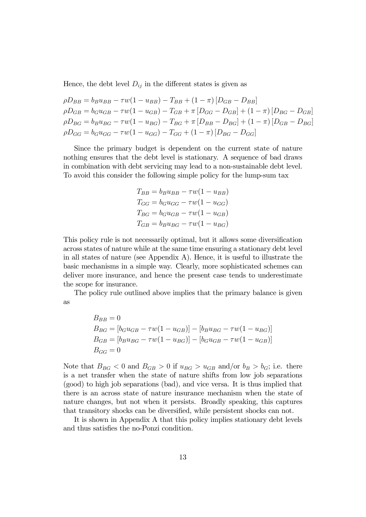Hence, the debt level  $D_{ij}$  in the different states is given as

$$
\rho D_{BB} = b_B u_{BB} - \tau w (1 - u_{BB}) - T_{BB} + (1 - \pi) [D_{GB} - D_{BB}] \n\rho D_{GB} = b_G u_{GB} - \tau w (1 - u_{GB}) - T_{GB} + \pi [D_{GG} - D_{GB}] + (1 - \pi) [D_{BG} - D_{GB}] \n\rho D_{BG} = b_B u_{BG} - \tau w (1 - u_{BG}) - T_{BG} + \pi [D_{BB} - D_{BG}] + (1 - \pi) [D_{GB} - D_{BG}] \n\rho D_{GG} = b_G u_{GG} - \tau w (1 - u_{GG}) - T_{GG} + (1 - \pi) [D_{BG} - D_{GG}]
$$

Since the primary budget is dependent on the current state of nature nothing ensures that the debt level is stationary. A sequence of bad draws in combination with debt servicing may lead to a non-sustainable debt level. To avoid this consider the following simple policy for the lump-sum tax

$$
T_{BB} = b_B u_{BB} - \tau w (1 - u_{BB})
$$
  
\n
$$
T_{GG} = b_G u_{GG} - \tau w (1 - u_{GG})
$$
  
\n
$$
T_{BG} = b_G u_{GB} - \tau w (1 - u_{GB})
$$
  
\n
$$
T_{GB} = b_B u_{BG} - \tau w (1 - u_{BG})
$$

This policy rule is not necessarily optimal, but it allows some diversification across states of nature while at the same time ensuring a stationary debt level in all states of nature (see Appendix A). Hence, it is useful to illustrate the basic mechanisms in a simple way. Clearly, more sophisticated schemes can deliver more insurance, and hence the present case tends to underestimate the scope for insurance.

The policy rule outlined above implies that the primary balance is given as

$$
B_{BB} = 0
$$
  
\n
$$
B_{BG} = [b_G u_{GB} - \tau w (1 - u_{GB})] - [b_B u_{BG} - \tau w (1 - u_{BG})]
$$
  
\n
$$
B_{GB} = [b_B u_{BG} - \tau w (1 - u_{BG})] - [b_G u_{GB} - \tau w (1 - u_{GB})]
$$
  
\n
$$
B_{GG} = 0
$$

Note that  $B_{BG} < 0$  and  $B_{GB} > 0$  if  $u_{BG} > u_{GB}$  and/or  $b_B > b_G$ ; i.e. there is a net transfer when the state of nature shifts from low job separations (good) to high job separations (bad), and vice versa. It is thus implied that there is an across state of nature insurance mechanism when the state of nature changes, but not when it persists. Broadly speaking, this captures that transitory shocks can be diversified, while persistent shocks can not.

It is shown in Appendix A that this policy implies stationary debt levels and thus satisfies the no-Ponzi condition.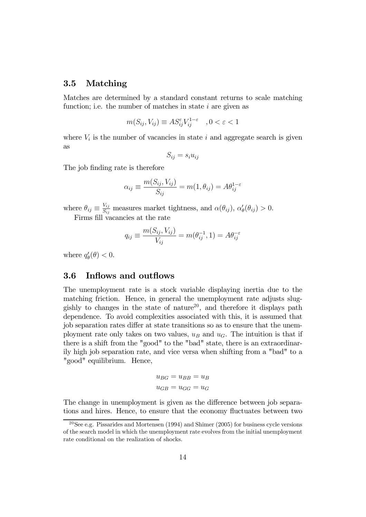### 3.5 Matching

Matches are determined by a standard constant returns to scale matching function; i.e. the number of matches in state  $i$  are given as

$$
m(S_{ij}, V_{ij}) \equiv AS_{ij}^{\varepsilon} V_{ij}^{1-\varepsilon} \quad , 0 < \varepsilon < 1
$$

where  $V_i$  is the number of vacancies in state i and aggregate search is given as

$$
S_{ij} = s_i u_{ij}
$$

The job finding rate is therefore

$$
\alpha_{ij} \equiv \frac{m(S_{ij}, V_{ij})}{S_{ij}} = m(1, \theta_{ij}) = A\theta_{ij}^{1-\epsilon}
$$

where  $\theta_{ij} \equiv \frac{V_{ij}}{S_{ij}}$  measures market tightness, and  $\alpha(\theta_{ij})$ ,  $\alpha'_{\theta}(\theta_{ij}) > 0$ . Firms fill vacancies at the rate

$$
q_{ij} \equiv \frac{m(S_{ij}, V_{ij})}{V_{ij}} = m(\theta_{ij}^{-1}, 1) = A\theta_{ij}^{-\varepsilon}
$$

where  $q'_{\theta}(\theta) < 0$ .

### 3.6 Inflows and outflows

The unemployment rate is a stock variable displaying inertia due to the matching friction. Hence, in general the unemployment rate adjusts sluggishly to changes in the state of nature<sup>20</sup>, and therefore it displays path dependence. To avoid complexities associated with this, it is assumed that job separation rates differ at state transitions so as to ensure that the unemployment rate only takes on two values,  $u_B$  and  $u_G$ . The intuition is that if there is a shift from the "good" to the "bad" state, there is an extraordinarily high job separation rate, and vice versa when shifting from a "bad" to a "good" equilibrium. Hence,

$$
u_{BG} = u_{BB} = u_B
$$
  

$$
u_{GB} = u_{GG} = u_G
$$

The change in unemployment is given as the difference between job separations and hires. Hence, to ensure that the economy fluctuates between two

<sup>&</sup>lt;sup>20</sup>See e.g. Pissarides and Mortensen (1994) and Shimer (2005) for business cycle versions of the search model in which the unemployment rate evolves from the initial unemployment rate conditional on the realization of shocks.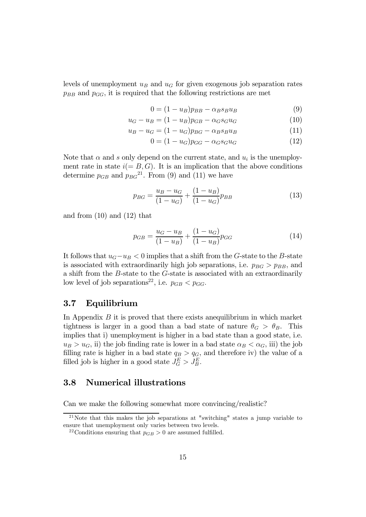levels of unemployment  $u_B$  and  $u_G$  for given exogenous job separation rates  $p_{BB}$  and  $p_{GG}$ , it is required that the following restrictions are met

$$
0 = (1 - u_B)p_{BB} - \alpha_B s_B u_B \tag{9}
$$

$$
u_G - u_B = (1 - u_B)p_{GB} - \alpha_G s_G u_G \tag{10}
$$

$$
u_B - u_G = (1 - u_G)p_{BG} - \alpha_B s_B u_B \tag{11}
$$

$$
0 = (1 - u_G) p_{GG} - \alpha_G s_G u_G \tag{12}
$$

Note that  $\alpha$  and s only depend on the current state, and  $u_i$  is the unemployment rate in state  $i(= B, G)$ . It is an implication that the above conditions determine  $p_{GB}$  and  $p_{BG}^{21}$ . From (9) and (11) we have

$$
p_{BG} = \frac{u_B - u_G}{(1 - u_G)} + \frac{(1 - u_B)}{(1 - u_G)} p_{BB}
$$
\n(13)

and from (10) and (12) that

$$
p_{GB} = \frac{u_G - u_B}{(1 - u_B)} + \frac{(1 - u_G)}{(1 - u_B)} p_{GG}
$$
 (14)

It follows that  $u_G-u_B < 0$  implies that a shift from the G-state to the B-state is associated with extraordinarily high job separations, i.e.  $p_{BG} > p_{BB}$ , and a shift from the B-state to the G-state is associated with an extraordinarily low level of job separations<sup>22</sup>, i.e.  $p_{GB} < p_{GG}$ .

### 3.7 Equilibrium

In Appendix  $B$  it is proved that there exists an equilibrium in which market tightness is larger in a good than a bad state of nature  $\theta_G > \theta_B$ . This implies that i) unemployment is higher in a bad state than a good state, i.e.  $u_B > u_G$ , ii) the job finding rate is lower in a bad state  $\alpha_B < \alpha_G$ , iii) the job filling rate is higher in a bad state  $q_B > q_G$ , and therefore iv) the value of a filled job is higher in a good state  $J_G^E > J_B^E$ .

### 3.8 Numerical illustrations

Can we make the following somewhat more convincing/realistic?

 $21$ Note that this makes the job separations at "switching" states a jump variable to ensure that unemployment only varies between two levels.

<sup>&</sup>lt;sup>22</sup>Conditions ensuring that  $p_{GB} > 0$  are assumed fulfilled.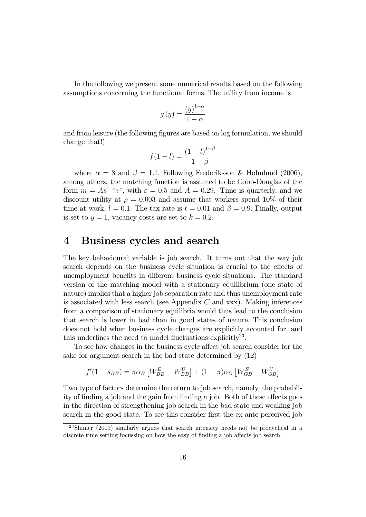In the following we present some numerical results based on the following assumptions concerning the functional forms. The utility from income is

$$
g(y) = \frac{(y)^{1-\alpha}}{1-\alpha}
$$

and from leisure (the following figures are based on log formulation, we should change that!)

$$
f(1 - l) = \frac{(1 - l)^{1 - \beta}}{1 - \beta}
$$

where  $\alpha = 8$  and  $\beta = 1.1$ . Following Frederiksson & Holmlund (2006), among others, the matching function is assumed to be Cobb-Douglas of the form  $m = As^{1-\epsilon}v^{\epsilon}$ , with  $\varepsilon = 0.5$  and  $A = 0.29$ . Time is quarterly, and we discount utility at  $\rho = 0.003$  and assume that workers spend 10% of their time at work,  $l = 0.1$ . The tax rate is  $t = 0.01$  and  $\beta = 0.9$ . Finally, output is set to  $y = 1$ , vacancy costs are set to  $k = 0.2$ .

### 4 Business cycles and search

The key behavioural variable is job search. It turns out that the way job search depends on the business cycle situation is crucial to the effects of unemployment benefits in different business cycle situations. The standard version of the matching model with a stationary equilibrium (one state of nature) implies that a higher job separation rate and thus unemployment rate is associated with less search (see Appendix  $C$  and  $xxx$ ). Making inferences from a comparison of stationary equilibria would thus lead to the conclusion that search is lower in bad than in good states of nature. This conclusion does not hold when business cycle changes are explicitly acounted for, and this underlines the need to model fluctuations explicitly<sup>23</sup>.

To see how changes in the business cycle affect job search consider for the sake for argument search in the bad state determined by (12)

$$
f'(1 - s_{BB}) = \pi \alpha_B \left[ W_{BB}^E - W_{BB}^U \right] + (1 - \pi) \alpha_G \left[ W_{GB}^E - W_{GB}^U \right]
$$

Two type of factors determine the return to job search, namely, the probability of finding a job and the gain from finding a job. Both of these effects goes in the direction of strengthening job search in the bad state and weaking job search in the good state. To see this consider first the ex ante perceived job

<sup>23</sup>Shimer (2009) similarly argues that search intensity needs not be procyclical in a discrete time setting focussing on how the easy of finding a job affects job search.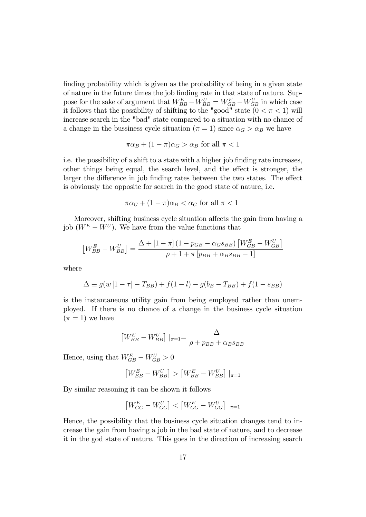finding probability which is given as the probability of being in a given state of nature in the future times the job finding rate in that state of nature. Suppose for the sake of argument that  $W_{BB}^E - W_{BB}^U = W_{GB}^E - W_{GB}^U$  in which case it follows that the possibility of shifting to the "good" state  $(0 < \pi < 1)$  will increase search in the "bad" state compared to a situation with no chance of a change in the bussiness cycle situation ( $\pi = 1$ ) since  $\alpha_G > \alpha_B$  we have

$$
\pi \alpha_B + (1 - \pi) \alpha_G > \alpha_B \text{ for all } \pi < 1
$$

i.e. the possibility of a shift to a state with a higher job finding rate increases, other things being equal, the search level, and the effect is stronger, the larger the difference in job finding rates between the two states. The effect is obviously the opposite for search in the good state of nature, i.e.

$$
\pi\alpha_G + (1 - \pi)\alpha_B < \alpha_G \text{ for all } \pi < 1
$$

Moreover, shifting business cycle situation affects the gain from having a job  $(W^E - W^U)$ . We have from the value functions that

$$
\left[W_{BB}^E - W_{BB}^U\right] = \frac{\Delta + \left[1 - \pi\right]\left(1 - p_{GB} - \alpha_{G} s_{BB}\right)\left[W_{GB}^E - W_{GB}^U\right]}{\rho + 1 + \pi\left[p_{BB} + \alpha_{B} s_{BB} - 1\right]}
$$

where

$$
\Delta \equiv g(w\left[1 - \tau\right] - T_{BB}) + f(1 - l) - g(b_B - T_{BB}) + f(1 - s_{BB})
$$

is the instantaneous utility gain from being employed rather than unemployed. If there is no chance of a change in the business cycle situation  $(\pi = 1)$  we have

$$
\left[W_{BB}^{E} - W_{BB}^{U}\right] |_{\pi=1} = \frac{\Delta}{\rho + p_{BB} + \alpha_{B} s_{BB}}
$$

Hence, using that  $W_{GB}^E - W_{GB}^U > 0$ 

$$
\left[W_{BB}^E - W_{BB}^U\right] > \left[W_{BB}^E - W_{BB}^U\right]|_{\pi=1}
$$

By similar reasoning it can be shown it follows

$$
\left[W_{GG}^E - W_{GG}^U\right] < \left[W_{GG}^E - W_{GG}^U\right]|_{\pi=1}
$$

Hence, the possibility that the business cycle situation changes tend to increase the gain from having a job in the bad state of nature, and to decrease it in the god state of nature. This goes in the direction of increasing search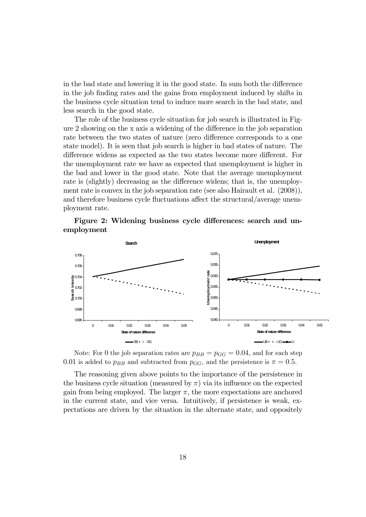in the bad state and lowering it in the good state. In sum both the difference in the job finding rates and the gains from employment induced by shifts in the business cycle situation tend to induce more search in the bad state, and less search in the good state.

The role of the business cycle situation for job search is illustrated in Figure 2 showing on the x axis a widening of the difference in the job separation rate between the two states of nature (zero difference corresponds to a one state model). It is seen that job search is higher in bad states of nature. The difference widens as expected as the two states become more different. For the unemployment rate we have as expected that unemployment is higher in the bad and lower in the good state. Note that the average unemployment rate is (slightly) decreasing as the difference widens; that is, the unemployment rate is convex in the job separation rate (see also Hairault et al. (2008)), and therefore business cycle fluctuations affect the structural/average unemployment rate.





Note: For 0 the job separation rates are  $p_{BB} = p_{GG} = 0.04$ , and for each step 0.01 is added to  $p_{BB}$  and subtracted from  $p_{GG}$ , and the persistence is  $\pi = 0.5$ .

The reasoning given above points to the importance of the persistence in the business cycle situation (measured by  $\pi$ ) via its influence on the expected gain from being employed. The larger  $\pi$ , the more expectations are anchored in the current state, and vice versa. Intuitively, if persistence is weak, expectations are driven by the situation in the alternate state, and oppositely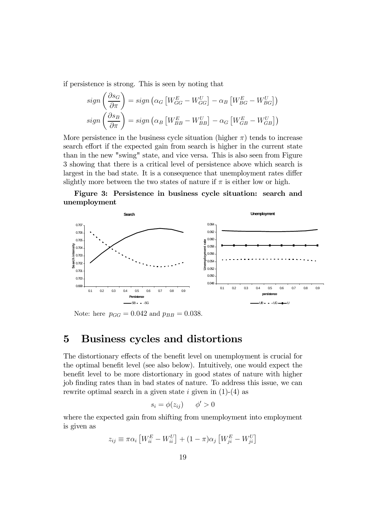if persistence is strong. This is seen by noting that

$$
sign\left(\frac{\partial s_G}{\partial \pi}\right) = sign\left(\alpha_G \left[W_{GG}^E - W_{GG}^U\right] - \alpha_B \left[W_{BG}^E - W_{BG}^U\right]\right)
$$
  

$$
sign\left(\frac{\partial s_B}{\partial \pi}\right) = sign\left(\alpha_B \left[W_{BB}^E - W_{BB}^U\right] - \alpha_G \left[W_{GB}^E - W_{GB}^U\right]\right)
$$

More persistence in the business cycle situation (higher  $\pi$ ) tends to increase search effort if the expected gain from search is higher in the current state than in the new "swing" state, and vice versa. This is also seen from Figure 3 showing that there is a critical level of persistence above which search is largest in the bad state. It is a consequence that unemployment rates differ slightly more between the two states of nature if  $\pi$  is either low or high.





Note: here  $p_{GG} = 0.042$  and  $p_{BB} = 0.038$ .

### 5 Business cycles and distortions

The distortionary effects of the benefit level on unemployment is crucial for the optimal benefit level (see also below). Intuitively, one would expect the benefit level to be more distortionary in good states of nature with higher job finding rates than in bad states of nature. To address this issue, we can rewrite optimal search in a given state i given in  $(1)-(4)$  as

$$
s_i = \phi(z_{ij}) \qquad \phi' > 0
$$

where the expected gain from shifting from unemployment into employment is given as

 $z_{ij} \equiv \pi \alpha_i \left[ W_{ii}^E - W_{ii}^U \right] + (1 - \pi) \alpha_j \left[ W_{ji}^E - W_{ji}^U \right]$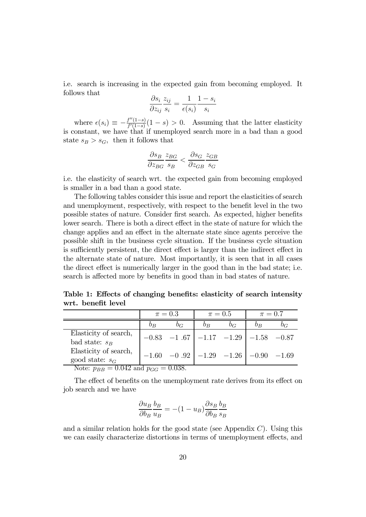i.e. search is increasing in the expected gain from becoming employed. It follows that

$$
\frac{\partial s_i}{\partial z_{ij}} \frac{z_{ij}}{s_i} = \frac{1}{\epsilon(s_i)} \frac{1 - s_i}{s_i}
$$

where  $\epsilon(s_i) \equiv -\frac{f''(1-s)}{f'(1-s)}(1-s) > 0$ . Assuming that the latter elasticity is constant, we have that if unemployed search more in a bad than a good state  $s_B > s_G$ , then it follows that

$$
\frac{\partial s_B}{\partial z_{BG}} \frac{z_{BG}}{s_B} < \frac{\partial s_G}{\partial z_{GB}} \frac{z_{GB}}{s_G}
$$

i.e. the elasticity of search wrt. the expected gain from becoming employed is smaller in a bad than a good state.

The following tables consider this issue and report the elasticities of search and unemployment, respectively, with respect to the benefit level in the two possible states of nature. Consider first search. As expected, higher benefits lower search. There is both a direct effect in the state of nature for which the change applies and an effect in the alternate state since agents perceive the possible shift in the business cycle situation. If the business cycle situation is sufficiently persistent, the direct effect is larger than the indirect effect in the alternate state of nature. Most importantly, it is seen that in all cases the direct effect is numerically larger in the good than in the bad state; i.e. search is affected more by benefits in good than in bad states of nature.

Table 1: Effects of changing benefits: elasticity of search intensity wrt. benefit level

|                                            | $\pi = 0.3$      |                                                          | $\pi = 0.5$ |       | $\pi = 0.7$      |  |
|--------------------------------------------|------------------|----------------------------------------------------------|-------------|-------|------------------|--|
|                                            | $\overline{O}_B$ | $b_G$                                                    | $v_B$       | $b_G$ | $\overline{b}_B$ |  |
| Elasticity of search,<br>bad state: $s_B$  |                  | $-0.83$ $-1.67$ $-1.17$ $-1.29$ $-1.58$ $-0.87$          |             |       |                  |  |
| Elasticity of search,<br>good state: $s_G$ |                  | $-1.60$ $-0.92$ $-1.29$ $-1.26$ $-0.90$ $-1.69$<br>റ റാറ |             |       |                  |  |

Note:  $p_{BB} = 0.042$  and  $p_{GG} = 0.038$ .

The effect of benefits on the unemployment rate derives from its effect on job search and we have

$$
\frac{\partial u_B}{\partial b_B} \frac{b_B}{u_B} = -(1 - u_B) \frac{\partial s_B}{\partial b_B} \frac{b_B}{s_B}
$$

and a similar relation holds for the good state (see Appendix  $C$ ). Using this we can easily characterize distortions in terms of unemployment effects, and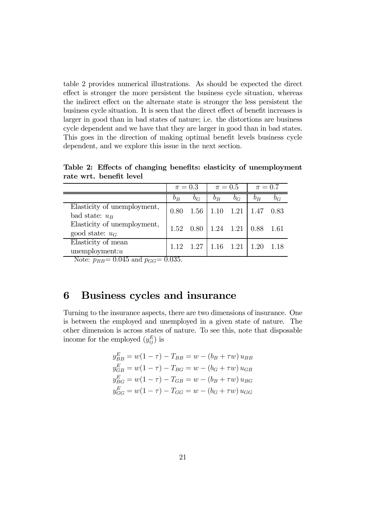table 2 provides numerical illustrations. As should be expected the direct effect is stronger the more persistent the business cycle situation, whereas the indirect effect on the alternate state is stronger the less persistent the business cycle situation. It is seen that the direct effect of benefit increases is larger in good than in bad states of nature; i.e. the distortions are business cycle dependent and we have that they are larger in good than in bad states. This goes in the direction of making optimal benefit levels business cycle dependent, and we explore this issue in the next section.

|                                                  | $\pi=0.3$ |       | $\pi = 0.5$ |       | $\pi = 0.7$ |                  |
|--------------------------------------------------|-----------|-------|-------------|-------|-------------|------------------|
|                                                  | $b_B$     | $b_G$ | $b_B$       | $b_G$ | $b_B$       | $\overline{O}_G$ |
| Elasticity of unemployment,<br>bad state: $u_B$  | 0.80      | 1.56  | 1.10        | 1.21  | 1.47        | 0.83             |
| Elasticity of unemployment,<br>good state: $u_G$ | 1.52      | 0.80  | 1.24 1.21   |       | $0.88$ 1.61 |                  |
| Elasticity of mean<br>$unemptyment: u$           | 1 1 2     | 1.27  | 1.16 1.21   |       | 1.20        |                  |

Table 2: Effects of changing benefits: elasticity of unemployment rate wrt. benefit level

Note:  $p_{BB} = 0.045$  and  $p_{GG} = 0.035$ .

### 6 Business cycles and insurance

Turning to the insurance aspects, there are two dimensions of insurance. One is between the employed and unemployed in a given state of nature. The other dimension is across states of nature. To see this, note that disposable income for the employed  $(y_{ij}^E)$  is

$$
y_{BB}^{E} = w(1 - \tau) - T_{BB} = w - (b_B + \tau w) u_{BB}
$$
  
\n
$$
y_{GB}^{E} = w(1 - \tau) - T_{BG} = w - (b_G + \tau w) u_{GB}
$$
  
\n
$$
y_{BG}^{E} = w(1 - \tau) - T_{GB} = w - (b_B + \tau w) u_{BG}
$$
  
\n
$$
y_{GG}^{E} = w(1 - \tau) - T_{GG} = w - (b_G + \tau w) u_{GG}
$$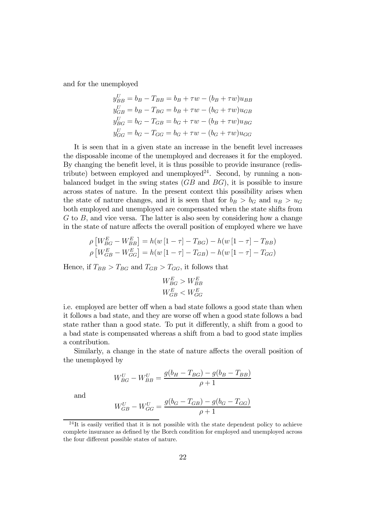and for the unemployed

$$
y_{BB}^U = b_B - T_{BB} = b_B + \tau w - (b_B + \tau w)u_{BB}
$$
  
\n
$$
y_{GB}^U = b_B - T_{BG} = b_B + \tau w - (b_G + \tau w)u_{GB}
$$
  
\n
$$
y_{BG}^U = b_G - T_{GB} = b_G + \tau w - (b_B + \tau w)u_{BG}
$$
  
\n
$$
y_{GG}^U = b_G - T_{GG} = b_G + \tau w - (b_G + \tau w)u_{GG}
$$

It is seen that in a given state an increase in the benefit level increases the disposable income of the unemployed and decreases it for the employed. By changing the benefit level, it is thus possible to provide insurance (redistribute) between employed and unemployed<sup>24</sup>. Second, by running a nonbalanced budget in the swing states  $(GB \text{ and } BG)$ , it is possible to insure across states of nature. In the present context this possibility arises when the state of nature changes, and it is seen that for  $b_B > b_G$  and  $u_B > u_G$ both employed and unemployed are compensated when the state shifts from  $G$  to  $B$ , and vice versa. The latter is also seen by considering how a change in the state of nature affects the overall position of employed where we have

$$
\rho \left[ W_{BG}^E - W_{BB}^E \right] = h(w \left[ 1 - \tau \right] - T_{BG}) - h(w \left[ 1 - \tau \right] - T_{BB})
$$

$$
\rho \left[ W_{GB}^E - W_{GG}^E \right] = h(w \left[ 1 - \tau \right] - T_{GB}) - h(w \left[ 1 - \tau \right] - T_{GG})
$$

Hence, if  $T_{BB} > T_{BG}$  and  $T_{GB} > T_{GG}$ , it follows that

$$
W_{BG}^E > W_{BB}^E
$$
  

$$
W_{GB}^E < W_{GG}^E
$$

i.e. employed are better off when a bad state follows a good state than when it follows a bad state, and they are worse off when a good state follows a bad state rather than a good state. To put it differently, a shift from a good to a bad state is compensated whereas a shift from a bad to good state implies a contribution.

Similarly, a change in the state of nature affects the overall position of the unemployed by

$$
W_{BG}^U - W_{BB}^U = \frac{g(b_H - T_{BG}) - g(b_B - T_{BB})}{\rho + 1}
$$

and

$$
W_{GB}^U - W_{GG}^U = \frac{g(b_G - T_{GB}) - g(b_G - T_{GG})}{\rho + 1}
$$

 $^{24}$ It is easily verified that it is not possible with the state dependent policy to achieve complete insurance as defined by the Borch condition for employed and unemployed across the four different possible states of nature.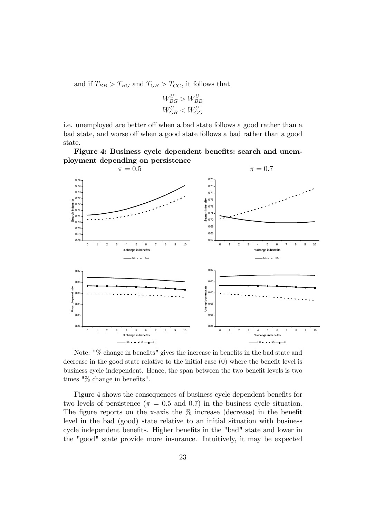and if  $T_{BB} > T_{BG}$  and  $T_{GB} > T_{GG}$ , it follows that

$$
W_{BG}^U > W_{BB}^U
$$
  

$$
W_{GB}^U < W_{GG}^U
$$

i.e. unemployed are better off when a bad state follows a good rather than a bad state, and worse off when a good state follows a bad rather than a good state.

Figure 4: Business cycle dependent benefits: search and unemployment depending on persistence



Note: "% change in benefits" gives the increase in benefits in the bad state and decrease in the good state relative to the initial case (0) where the benefit level is business cycle independent. Hence, the span between the two benefit levels is two times "% change in benefits".

Figure 4 shows the consequences of business cycle dependent benefits for two levels of persistence ( $\pi = 0.5$  and 0.7) in the business cycle situation. The figure reports on the x-axis the  $\%$  increase (decrease) in the benefit level in the bad (good) state relative to an initial situation with business cycle independent benefits. Higher benefits in the "bad" state and lower in the "good" state provide more insurance. Intuitively, it may be expected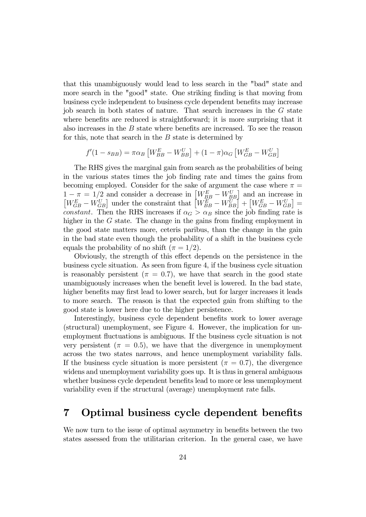that this unambiguously would lead to less search in the "bad" state and more search in the "good" state. One striking finding is that moving from business cycle independent to business cycle dependent benefits may increase job search in both states of nature. That search increases in the G state where benefits are reduced is straightforward; it is more surprising that it also increases in the  $B$  state where benefits are increased. To see the reason for this, note that search in the  $B$  state is determined by

$$
f'(1 - s_{BB}) = \pi \alpha_B \left[ W_{BB}^E - W_{BB}^U \right] + (1 - \pi) \alpha_G \left[ W_{GB}^E - W_{GB}^U \right]
$$

The RHS gives the marginal gain from search as the probabilities of being in the various states times the job finding rate and times the gains from becoming employed. Consider for the sake of argument the case where  $\pi =$  $1 - \pi = 1/2$  and consider a decrease in  $\begin{bmatrix} W_{BB}^E - W_{BB}^U \end{bmatrix}$  and an increase in  $\left[W_{GB}^E - W_{GB}^U\right]$  under the constraint that  $\left[W_{BB}^E - W_{BB}^U\right] + \left[W_{GB}^E - W_{GB}^U\right] =$ constant. Then the RHS increases if  $\alpha_G > \alpha_B$  since the job finding rate is higher in the G state. The change in the gains from finding employment in the good state matters more, ceteris paribus, than the change in the gain in the bad state even though the probability of a shift in the business cycle equals the probability of no shift  $(\pi = 1/2)$ .

Obviously, the strength of this effect depends on the persistence in the business cycle situation. As seen from figure 4, if the business cycle situation is reasonably persistent ( $\pi = 0.7$ ), we have that search in the good state unambiguously increases when the benefit level is lowered. In the bad state, higher benefits may first lead to lower search, but for larger increases it leads to more search. The reason is that the expected gain from shifting to the good state is lower here due to the higher persistence.

Interestingly, business cycle dependent benefits work to lower average (structural) unemployment, see Figure 4. However, the implication for unemployment fluctuations is ambiguous. If the business cycle situation is not very persistent ( $\pi = 0.5$ ), we have that the divergence in unemployment across the two states narrows, and hence unemployment variability falls. If the business cycle situation is more persistent ( $\pi = 0.7$ ), the divergence widens and unemployment variability goes up. It is thus in general ambiguous whether business cycle dependent benefits lead to more or less unemployment variability even if the structural (average) unemployment rate falls.

### 7 Optimal business cycle dependent benefits

We now turn to the issue of optimal asymmetry in benefits between the two states assessed from the utilitarian criterion. In the general case, we have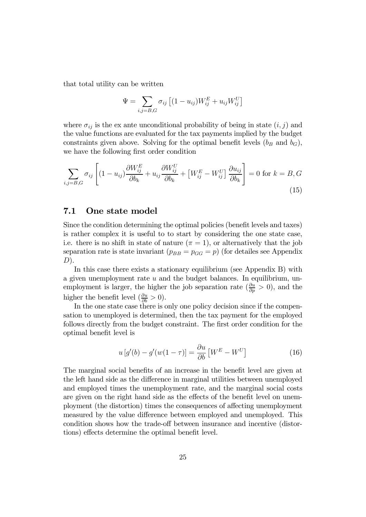that total utility can be written

$$
\Psi = \sum_{i,j=B,G} \sigma_{ij} \left[ (1 - u_{ij}) W_{ij}^E + u_{ij} W_{ij}^U \right]
$$

where  $\sigma_{ij}$  is the ex ante unconditional probability of being in state  $(i, j)$  and the value functions are evaluated for the tax payments implied by the budget constraints given above. Solving for the optimal benefit levels  $(b_B \text{ and } b_G)$ , we have the following first order condition

$$
\sum_{i,j=B,G} \sigma_{ij} \left[ (1 - u_{ij}) \frac{\partial W_{ij}^E}{\partial b_k} + u_{ij} \frac{\partial W_{ij}^U}{\partial b_k} + \left[ W_{ij}^E - W_{ij}^U \right] \frac{\partial u_{ij}}{\partial b_k} \right] = 0 \text{ for } k = B, G
$$
\n(15)

### 7.1 One state model

Since the condition determining the optimal policies (benefit levels and taxes) is rather complex it is useful to to start by considering the one state case, i.e. there is no shift in state of nature  $(\pi = 1)$ , or alternatively that the job separation rate is state invariant  $(p_{BB} = p_{GG} = p)$  (for detailes see Appendix  $D$ ).

In this case there exists a stationary equilibrium (see Appendix B) with a given unemployment rate  $u$  and the budget balances. In equilibrium, unemployment is larger, the higher the job separation rate  $(\frac{\partial u}{\partial p} > 0)$ , and the higher the benefit level  $(\frac{\partial u}{\partial b} > 0)$ .

In the one state case there is only one policy decision since if the compensation to unemployed is determined, then the tax payment for the employed follows directly from the budget constraint. The first order condition for the optimal benefit level is

$$
u\left[g'(b) - g'(w(1-\tau)\right] = \frac{\partial u}{\partial b}\left[W^{E} - W^{U}\right]
$$
\n(16)

The marginal social benefits of an increase in the benefit level are given at the left hand side as the difference in marginal utilities between unemployed and employed times the unemployment rate, and the marginal social costs are given on the right hand side as the effects of the benefit level on unemployment (the distortion) times the consequences of affecting unemployment measured by the value difference between employed and unemployed. This condition shows how the trade-off between insurance and incentive (distortions) effects determine the optimal benefit level.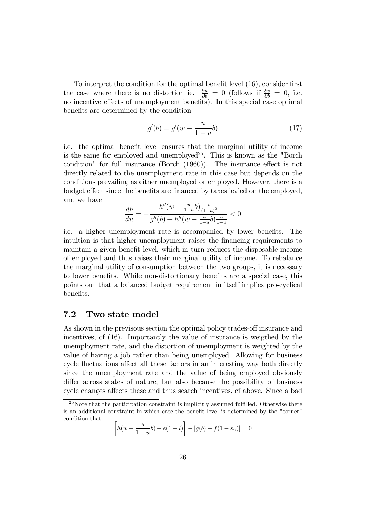To interpret the condition for the optimal benefit level (16), consider first the case where there is no distortion ie.  $\frac{\partial u}{\partial b} = 0$  (follows if  $\frac{\partial s}{\partial b} = 0$ , i.e. no incentive effects of unemployment benefits). In this special case optimal benefits are determined by the condition

$$
g'(b) = g'(w - \frac{u}{1 - u}b)
$$
\n(17)

i.e. the optimal benefit level ensures that the marginal utility of income is the same for employed and unemployed<sup>25</sup>. This is known as the "Borch" condition" for full insurance (Borch (1960)). The insurance effect is not directly related to the unemployment rate in this case but depends on the conditions prevailing as either unemployed or employed. However, there is a budget effect since the benefits are financed by taxes levied on the employed, and we have

$$
\frac{db}{du} = -\frac{h''(w - \frac{u}{1-u}b)\frac{b}{(1-u)^2}}{g''(b) + h''(w - \frac{u}{1-u}b)\frac{u}{1-u}} < 0
$$

i.e. a higher unemployment rate is accompanied by lower benefits. The intuition is that higher unemployment raises the financing requirements to maintain a given benefit level, which in turn reduces the disposable income of employed and thus raises their marginal utility of income. To rebalance the marginal utility of consumption between the two groups, it is necessary to lower benefits. While non-distortionary benefits are a special case, this points out that a balanced budget requirement in itself implies pro-cyclical benefits.

### 7.2 Two state model

As shown in the previsous section the optimal policy trades-off insurance and incentives, cf (16). Importantly the value of insurance is weigthed by the unemployment rate, and the distortion of unemployment is weighted by the value of having a job rather than being unemployed. Allowing for business cycle fluctuations affect all these factors in an interesting way both directly since the unemployment rate and the value of being employed obviously differ across states of nature, but also because the possibility of business cycle changes affects these and thus search incentives, cf above. Since a bad

$$
\[h(w - \frac{u}{1-u}b) - e(1-l)\] - [g(b) - f(1-s_u)] = 0
$$

<sup>&</sup>lt;sup>25</sup>Note that the participation constraint is implicitly assumed fulfilled. Otherwise there is an additional constraint in which case the benefit level is determined by the "corner" condition that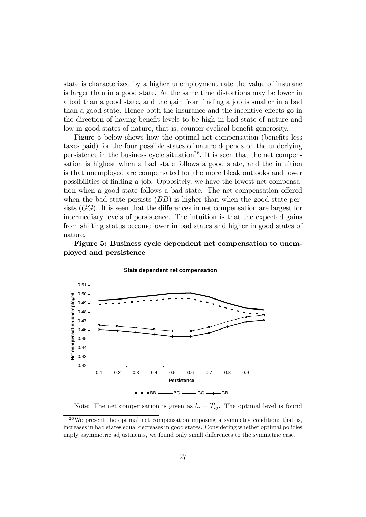state is characterized by a higher unemployment rate the value of insurane is larger than in a good state. At the same time distortions may be lower in a bad than a good state, and the gain from finding a job is smaller in a bad than a good state. Hence both the insurance and the incentive effects go in the direction of having benefit levels to be high in bad state of nature and low in good states of nature, that is, counter-cyclical benefit generosity.

Figure 5 below shows how the optimal net compensation (benefits less taxes paid) for the four possible states of nature depends on the underlying persistence in the business cycle situation<sup>26</sup>. It is seen that the net compensation is highest when a bad state follows a good state, and the intuition is that unemployed are compensated for the more bleak outlooks and lower possibilities of finding a job. Oppositely, we have the lowest net compensation when a good state follows a bad state. The net compensation offered when the bad state persists  $(BB)$  is higher than when the good state persists  $(GG)$ . It is seen that the differences in net compensation are largest for intermediary levels of persistence. The intuition is that the expected gains from shifting status become lower in bad states and higher in good states of nature.

Figure 5: Business cycle dependent net compensation to unemployed and persistence



**State dependent net compensation**

Note: The net compensation is given as  $b_i - T_{ij}$ . The optimal level is found

 $26\,\text{We present the optimal net compensation imposing a symmetry condition; that is,}$ increases in bad states equal decreases in good states. Considering whether optimal policies imply asymmetric adjustments, we found only small differences to the symmetric case.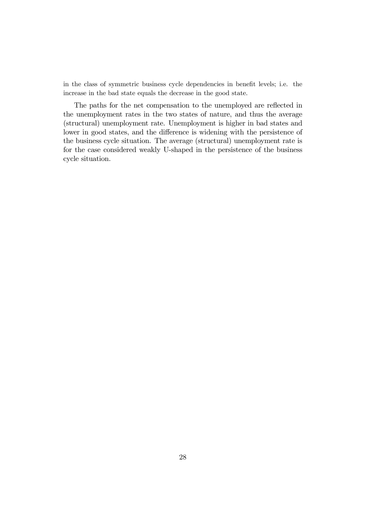in the class of symmetric business cycle dependencies in benefit levels; i.e. the increase in the bad state equals the decrease in the good state.

The paths for the net compensation to the unemployed are reflected in the unemployment rates in the two states of nature, and thus the average (structural) unemployment rate. Unemployment is higher in bad states and lower in good states, and the difference is widening with the persistence of the business cycle situation. The average (structural) unemployment rate is for the case considered weakly U-shaped in the persistence of the business cycle situation.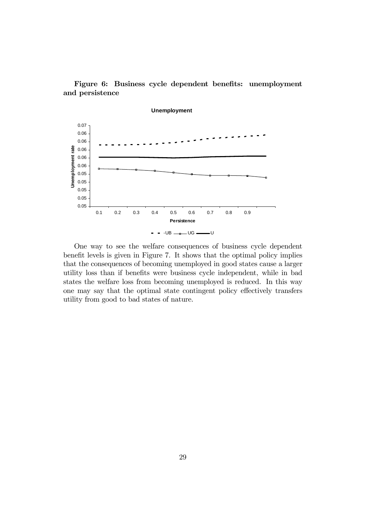



One way to see the welfare consequences of business cycle dependent benefit levels is given in Figure 7. It shows that the optimal policy implies that the consequences of becoming unemployed in good states cause a larger utility loss than if benefits were business cycle independent, while in bad states the welfare loss from becoming unemployed is reduced. In this way one may say that the optimal state contingent policy effectively transfers utility from good to bad states of nature.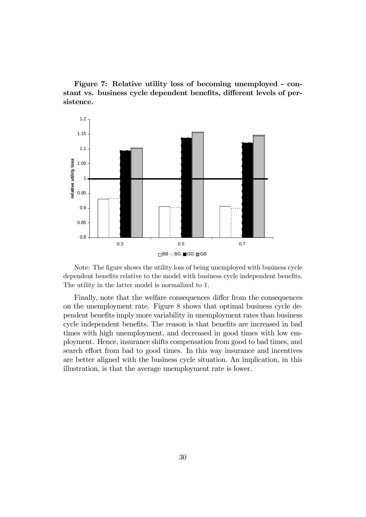Figure 7: Relative utility loss of becoming unemployed - constant vs. business cycle dependent benefits, different levels of persistence.



Note: The figure shows the utility loss of being unemployed with business cycle dependent benefits relative to the model with business cycle independent benefits. The utility in the latter model is normalized to 1.

Finally, note that the welfare consequences differ from the consequences on the unemployment rate. Figure 8 shows that optimal business cycle dependent benefits imply more variability in unemployment rates than business cycle independent benefits. The reason is that benefits are increased in bad times with high unemployment, and decreased in good times with low employment. Hence, insurance shifts compensation from good to bad times, and search effort from bad to good times. In this way insurance and incentives are better aligned with the business cycle situation. An implication, in this illustration, is that the average unemployment rate is lower.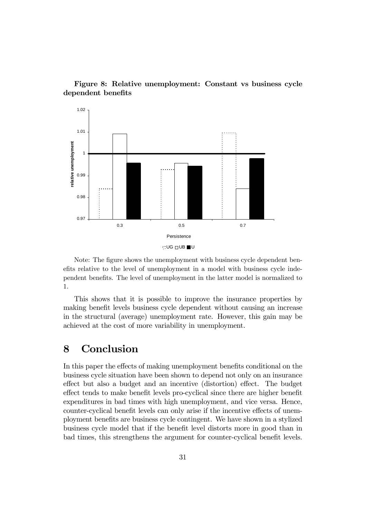

Figure 8: Relative unemployment: Constant vs business cycle dependent benefits

Note: The figure shows the unemployment with business cycle dependent benefits relative to the level of unemployment in a model with business cycle independent benefits. The level of unemployment in the latter model is normalized to 1.

This shows that it is possible to improve the insurance properties by making benefit levels business cycle dependent without causing an increase in the structural (average) unemployment rate. However, this gain may be achieved at the cost of more variability in unemployment.

### 8 Conclusion

In this paper the effects of making unemployment benefits conditional on the business cycle situation have been shown to depend not only on an insurance effect but also a budget and an incentive (distortion) effect. The budget effect tends to make benefit levels pro-cyclical since there are higher benefit expenditures in bad times with high unemployment, and vice versa. Hence, counter-cyclical benefit levels can only arise if the incentive effects of unemployment benefits are business cycle contingent. We have shown in a stylized business cycle model that if the benefit level distorts more in good than in bad times, this strengthens the argument for counter-cyclical benefit levels.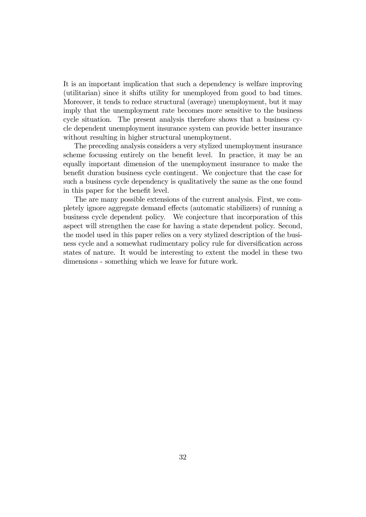It is an important implication that such a dependency is welfare improving (utilitarian) since it shifts utility for unemployed from good to bad times. Moreover, it tends to reduce structural (average) unemployment, but it may imply that the unemployment rate becomes more sensitive to the business cycle situation. The present analysis therefore shows that a business cycle dependent unemployment insurance system can provide better insurance without resulting in higher structural unemployment.

The preceding analysis considers a very stylized unemployment insurance scheme focussing entirely on the benefit level. In practice, it may be an equally important dimension of the unemployment insurance to make the benefit duration business cycle contingent. We conjecture that the case for such a business cycle dependency is qualitatively the same as the one found in this paper for the benefit level.

The are many possible extensions of the current analysis. First, we completely ignore aggregate demand effects (automatic stabilizers) of running a business cycle dependent policy. We conjecture that incorporation of this aspect will strengthen the case for having a state dependent policy. Second, the model used in this paper relies on a very stylized description of the business cycle and a somewhat rudimentary policy rule for diversification across states of nature. It would be interesting to extent the model in these two dimensions - something which we leave for future work.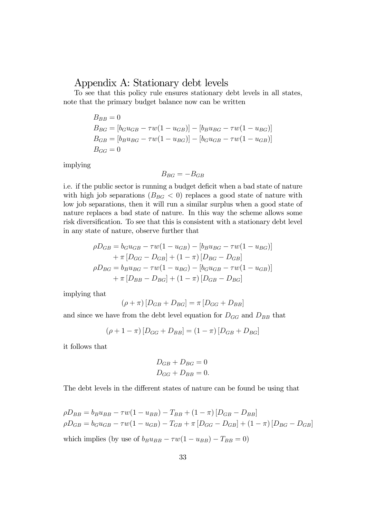### Appendix A: Stationary debt levels

To see that this policy rule ensures stationary debt levels in all states, note that the primary budget balance now can be written

$$
B_{BB} = 0
$$
  
\n
$$
B_{BG} = [b_G u_{GB} - \tau w (1 - u_{GB})] - [b_B u_{BG} - \tau w (1 - u_{BG})]
$$
  
\n
$$
B_{GB} = [b_B u_{BG} - \tau w (1 - u_{BG})] - [b_G u_{GB} - \tau w (1 - u_{GB})]
$$
  
\n
$$
B_{GG} = 0
$$

implying

$$
B_{BG}=-B_{GB}
$$

i.e. if the public sector is running a budget deficit when a bad state of nature with high job separations ( $B_{BG} < 0$ ) replaces a good state of nature with low job separations, then it will run a similar surplus when a good state of nature replaces a bad state of nature. In this way the scheme allows some risk diversification. To see that this is consistent with a stationary debt level in any state of nature, observe further that

$$
\rho D_{GB} = b_G u_{GB} - \tau w (1 - u_{GB}) - [b_B u_{BG} - \tau w (1 - u_{BG})]
$$
  
+  $\pi [D_{GG} - D_{GB}] + (1 - \pi) [D_{BG} - D_{GB}]$   
 $\rho D_{BG} = b_B u_{BG} - \tau w (1 - u_{BG}) - [b_G u_{GB} - \tau w (1 - u_{GB})]$   
+  $\pi [D_{BB} - D_{BG}] + (1 - \pi) [D_{GB} - D_{BG}]$ 

implying that

$$
(\rho + \pi) [D_{GB} + D_{BG}] = \pi [D_{GG} + D_{BB}]
$$

and since we have from the debt level equation for  $D_{GG}$  and  $D_{BB}$  that

$$
(\rho + 1 - \pi) [D_{GG} + D_{BB}] = (1 - \pi) [D_{GB} + D_{BG}]
$$

it follows that

$$
D_{GB} + D_{BG} = 0
$$
  

$$
D_{GG} + D_{BB} = 0.
$$

The debt levels in the different states of nature can be found be using that

$$
\rho D_{BB} = b_B u_{BB} - \tau w (1 - u_{BB}) - T_{BB} + (1 - \pi) [D_{GB} - D_{BB}]
$$
  
\n
$$
\rho D_{GB} = b_G u_{GB} - \tau w (1 - u_{GB}) - T_{GB} + \pi [D_{GG} - D_{GB}] + (1 - \pi) [D_{BG} - D_{GB}]
$$
  
\nwhich implies (by use of  $b_B u_{BB} - \tau w (1 - u_{BB}) - T_{BB} = 0$ )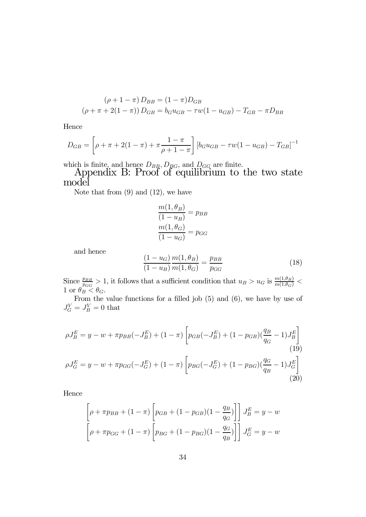$$
(\rho + 1 - \pi) D_{BB} = (1 - \pi) D_{GB}
$$
  

$$
(\rho + \pi + 2(1 - \pi)) D_{GB} = b_G u_{GB} - \tau w (1 - u_{GB}) - T_{GB} - \pi D_{BB}
$$

Hence

$$
D_{GB} = \left[\rho + \pi + 2(1 - \pi) + \pi \frac{1 - \pi}{\rho + 1 - \pi}\right] \left[b_G u_{GB} - \tau w (1 - u_{GB}) - T_{GB}\right]^{-1}
$$

which is finite, and hence  $D_{BB}$ ,  $D_{BG}$ , and  $D_{GG}$  are finite.

Appendix B: Proof of equilibrium to the two state model

Note that from  $(9)$  and  $(12)$ , we have

$$
\frac{m(1, \theta_B)}{(1 - u_B)} = p_{BB}
$$

$$
\frac{m(1, \theta_G)}{(1 - u_G)} = p_{GG}
$$

and hence

$$
\frac{(1 - u_G)}{(1 - u_B)} \frac{m(1, \theta_B)}{m(1, \theta_G)} = \frac{p_{BB}}{p_{GG}}
$$
(18)

Since  $\frac{p_{BB}}{p_{GG}} > 1$ , it follows that a sufficient condition that  $u_B > u_G$  is  $\frac{m(1,\theta_B)}{m(1,\theta_G)} <$ 1 or  $\theta_B < \theta_G$ .

From the value functions for a filled job  $(5)$  and  $(6)$ , we have by use of  $J_G^V = J_B^V = 0$  that

$$
\rho J_B^E = y - w + \pi p_{BB}(-J_B^E) + (1 - \pi) \left[ p_{GB}(-J_B^E) + (1 - p_{GB})(\frac{q_B}{q_G} - 1)J_B^E \right]
$$
  
\n
$$
\rho J_G^E = y - w + \pi p_{GG}(-J_G^E) + (1 - \pi) \left[ p_{BG}(-J_G^E) + (1 - p_{BG})(\frac{q_G}{q_B} - 1)J_G^E \right]
$$
  
\n(19)  
\n(20)

Hence

$$
\[\rho + \pi p_{BB} + (1 - \pi) \left[ p_{GB} + (1 - p_{GB})(1 - \frac{q_B}{q_G}) \right] J_B^E = y - w \]
$$
\n
$$
\left[ \rho + \pi p_{GG} + (1 - \pi) \left[ p_{BG} + (1 - p_{BG})(1 - \frac{q_G}{q_B}) \right] J_G^E = y - w \]
$$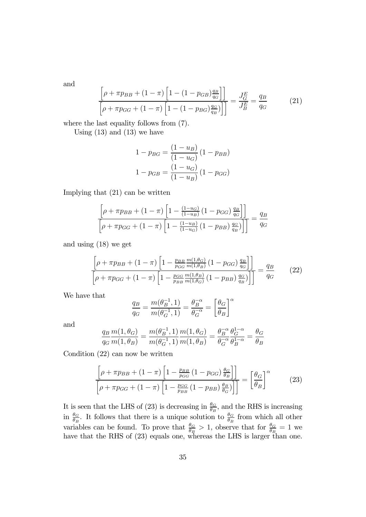and

$$
\frac{\left[\rho + \pi p_{BB} + (1 - \pi) \left[1 - (1 - p_{GB})\frac{q_B}{q_G}\right]\right]}{\left[\rho + \pi p_{GG} + (1 - \pi) \left[1 - (1 - p_{BG})\frac{q_G}{q_B}\right]\right]} = \frac{J_G^E}{J_B^E} = \frac{q_B}{q_G}
$$
(21)

where the last equality follows from (7).

Using  $(13)$  and  $(13)$  we have

$$
1 - p_{BG} = \frac{(1 - u_B)}{(1 - u_G)} (1 - p_{BB})
$$

$$
1 - p_{GB} = \frac{(1 - u_G)}{(1 - u_B)} (1 - p_{GG})
$$

Implying that (21) can be written

$$
\frac{\left[\rho + \pi p_{BB} + (1 - \pi) \left[1 - \frac{(1 - u_G)}{(1 - u_B)} (1 - p_{GG}) \frac{q_B}{q_G}\right]\right]}{\left[\rho + \pi p_{GG} + (1 - \pi) \left[1 - \frac{(1 - u_B)}{(1 - u_G)} (1 - p_{BB}) \frac{q_G}{q_B}\right]\right]} = \frac{q_B}{q_G}
$$

and using (18) we get

$$
\frac{\left[\rho + \pi p_{BB} + (1 - \pi) \left[1 - \frac{p_{BB}}{p_{GG}} \frac{m(1, \theta_G)}{m(1, \theta_B)} (1 - p_{GG}) \frac{q_B}{q_G}\right]\right]}{\left[\rho + \pi p_{GG} + (1 - \pi) \left[1 - \frac{p_{GG}}{p_{BB}} \frac{m(1, \theta_B)}{m(1, \theta_G)} (1 - p_{BB}) \frac{q_G}{q_B}\right]\right]} = \frac{q_B}{q_G}
$$
(22)

We have that

$$
\frac{q_B}{q_G} = \frac{m(\theta_B^{-1}, 1)}{m(\theta_G^{-1}, 1)} = \frac{\theta_B^{-\alpha}}{\theta_G^{-\alpha}} = \left[\frac{\theta_G}{\theta_B}\right]^{\alpha}
$$

and

$$
\frac{q_B}{q_G} \frac{m(1, \theta_G)}{m(1, \theta_B)} = \frac{m(\theta_B^{-1}, 1)}{m(\theta_G^{-1}, 1)} \frac{m(1, \theta_G)}{m(1, \theta_B)} = \frac{\theta_B^{-\alpha}}{\theta_G^{-\alpha}} \frac{\theta_G^{1-\alpha}}{\theta_B^{1-\alpha}} = \frac{\theta_G}{\theta_B}
$$

Condition (22) can now be written

$$
\frac{\left[\rho + \pi p_{BB} + (1 - \pi) \left[1 - \frac{p_{BB}}{p_{GG}} \left(1 - p_{GG}\right) \frac{\theta_G}{\theta_B}\right]\right]}{\left[\rho + \pi p_{GG} + (1 - \pi) \left[1 - \frac{p_{GG}}{p_{BB}} \left(1 - p_{BB}\right) \frac{\theta_B}{\theta_G}\right]\right]} = \left[\frac{\theta_G}{\theta_B}\right]^\alpha \tag{23}
$$

It is seen that the LHS of (23) is decreasing in  $\frac{\theta_G}{\theta_B}$ , and the RHS is increasing in  $\frac{\theta_G}{\theta_B}$ . It follows that there is a unique solution to  $\frac{\theta_G}{\theta_B}$  from which all other variables can be found. To prove that  $\frac{\theta_G}{\theta_B} > 1$ , observe that for  $\frac{\theta_G}{\theta_B} = 1$  we have that the RHS of  $(23)$  equals one, whereas the LHS is larger than one.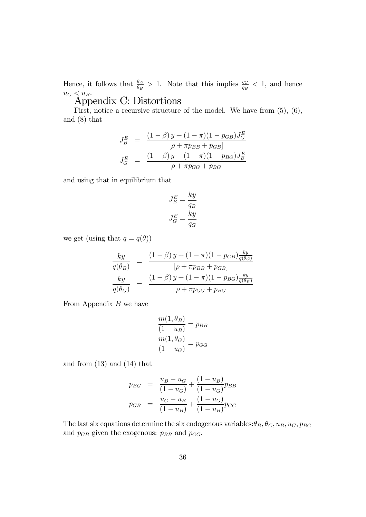Hence, it follows that  $\frac{\theta_G}{\theta_B} > 1$ . Note that this implies  $\frac{q_G}{q_B} < 1$ , and hence  $u_G < u_B$ .

## Appendix C: Distortions

First, notice a recursive structure of the model. We have from (5), (6), and (8) that

$$
J_B^E = \frac{(1 - \beta) y + (1 - \pi)(1 - p_{GB})J_G^E}{[\rho + \pi p_{BB} + p_{GB}]} J_G^E = \frac{(1 - \beta) y + (1 - \pi)(1 - p_{BG})J_B^E}{\rho + \pi p_{GG} + p_{BG}}
$$

and using that in equilibrium that

$$
J_B^E = \frac{ky}{q_B}
$$

$$
J_G^E = \frac{ky}{q_G}
$$

we get (using that  $q = q(\theta)$ )

$$
\frac{ky}{q(\theta_B)} = \frac{(1-\beta) y + (1-\pi)(1-p_{GB})\frac{ky}{q(\theta_G)}}{[\rho + \pi p_{BB} + p_{GB}]\frac{ky}{q(\theta_G)}} = \frac{(1-\beta) y + (1-\pi)(1-p_{BG})\frac{ky}{q(\theta_B)}}{\rho + \pi p_{GG} + p_{BG}}
$$

From Appendix  $B$  we have

$$
\frac{m(1, \theta_B)}{(1 - u_B)} = p_{BB}
$$

$$
\frac{m(1, \theta_G)}{(1 - u_G)} = p_{GG}
$$

and from (13) and (14) that

$$
p_{BG} = \frac{u_B - u_G}{(1 - u_G)} + \frac{(1 - u_B)}{(1 - u_G)} p_{BB}
$$

$$
p_{GB} = \frac{u_G - u_B}{(1 - u_B)} + \frac{(1 - u_G)}{(1 - u_B)} p_{GG}
$$

The last six equations determine the six endogenous variables:  $\theta_B$ ,  $\theta_G$ ,  $u_B$ ,  $u_G$ ,  $p_{BG}$ and  $p_{GB}$  given the exogenous:  $p_{BB}$  and  $p_{GG}$ .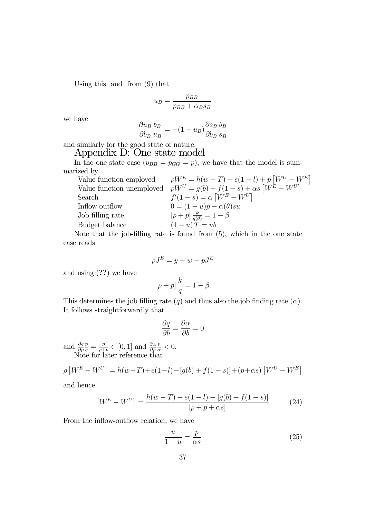Using this and from (9) that

$$
u_B = \frac{p_{BB}}{p_{BB} + \alpha_B s_B}
$$

we have

$$
\frac{\partial u_B}{\partial b_B} \frac{b_B}{u_B} = -(1 - u_B) \frac{\partial s_B}{\partial b_B} \frac{b_B}{s_B}
$$

and similarly for the good state of nature.

### Appendix D: One state model

In the one state case  $(p_{BB} = p_{GG} = p)$ , we have that the model is summarized by

| Value function employed   | $\rho W^{E} = h(w - T) + e(1 - l) + p W^{U} - W^{E} $                     |
|---------------------------|---------------------------------------------------------------------------|
| Value function unemployed | $\rho W^{U} = g(b) + f(1 - s) + \alpha s [W^{E} - W^{U}]$                 |
| Search                    | $f'(1-s) = \alpha [W^E - W^U]$                                            |
| Inflow outflow            | $0 = (1 - u)p - \alpha(\theta)su$                                         |
| Job filling rate          | $[\rho + p] \frac{k}{q(\theta)} = 1 - \beta$                              |
| Budget balance            | $(1-u)T = ub$                                                             |
|                           | Note that the job filling rate is found from $(5)$ which is the one state |

Note that the job-filling rate is found from (5), which in the one state case reads

$$
\rho J^E = y - w - pJ^E
$$

and using (??) we have

$$
[\rho + p] \, \frac{k}{q} = 1 - \beta
$$

This determines the job filling rate  $(q)$  and thus also the job finding rate  $(\alpha)$ . It follows straightforwardly that

$$
\frac{\partial q}{\partial b} = \frac{\partial \alpha}{\partial b} = 0
$$

and  $\frac{\partial q}{\partial p}$  $\frac{p}{q} = \frac{p}{\rho + p} \in [0, 1]$  and  $\frac{\partial \alpha}{\partial p}$  $\frac{p}{\alpha} < 0.$ Note for later reference that

$$
\rho \left[ W^{E} - W^{U} \right] = h(w - T) + e(1 - l) - [g(b) + f(1 - s)] + (p + \alpha s) [W^{U} - W^{E}]
$$

and hence

$$
[W^{E} - W^{U}] = \frac{h(w - T) + e(1 - l) - [g(b) + f(1 - s)]}{[\rho + p + \alpha s]}
$$
(24)

From the inflow-outflow relation, we have

$$
\frac{u}{1-u} = \frac{p}{\alpha s} \tag{25}
$$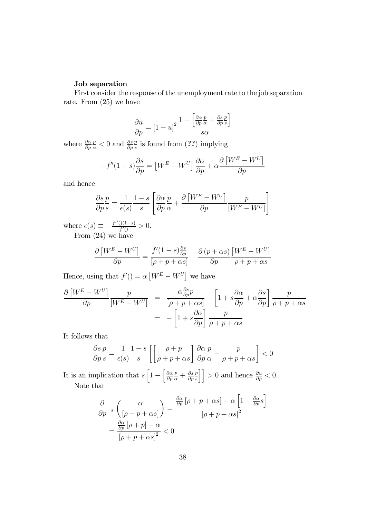#### Job separation

First consider the response of the unemployment rate to the job separation rate. From (25) we have

$$
\frac{\partial u}{\partial p} = \left[1 - u\right]^2 \frac{1 - \left[\frac{\partial \alpha}{\partial p} \frac{p}{\alpha} + \frac{\partial s}{\partial p} \frac{p}{s}\right]}{s \alpha}
$$

where  $\frac{\partial \alpha}{\partial p}$  $\frac{p}{\alpha}$  < 0 and  $\frac{\partial s}{\partial p}$  $\frac{p}{s}$  is found from (??) implying

$$
-f''(1-s)\frac{\partial s}{\partial p} = \left[W^{E} - W^{U}\right]\frac{\partial \alpha}{\partial p} + \alpha \frac{\partial \left[W^{E} - W^{U}\right]}{\partial p}
$$

and hence

$$
\frac{\partial s}{\partial p} \frac{p}{s} = \frac{1}{\epsilon(s)} \frac{1-s}{s} \left[ \frac{\partial \alpha}{\partial p} \frac{p}{\alpha} + \frac{\partial \left[ W^E - W^U \right]}{\partial p} \frac{p}{\left[ W^E - W^U \right]} \right]
$$

where  $\epsilon(s) \equiv -\frac{f''()(1-s)}{f'()} > 0.$ From (24) we have

$$
\frac{\partial [W^E - W^U]}{\partial p} = \frac{f'(1 - s)\frac{\partial s}{\partial p}}{[\rho + p + \alpha s]} - \frac{\partial (p + \alpha s)}{\partial p} \frac{[W^E - W^U]}{\rho + p + \alpha s}
$$

Hence, using that  $f'( ) = \alpha \left[ W^E - W^U \right]$  we have

$$
\frac{\partial \left[W^{E} - W^{U}\right]}{\partial p}\frac{p}{\left[W^{E} - W^{U}\right]} = \frac{\alpha \frac{\partial s}{\partial p} p}{\left[\rho + p + \alpha s\right]} - \left[1 + s\frac{\partial \alpha}{\partial p} + \alpha \frac{\partial s}{\partial p}\right] \frac{p}{\rho + p + \alpha s}
$$

$$
= -\left[1 + s\frac{\partial \alpha}{\partial p}\right] \frac{p}{\rho + p + \alpha s}
$$

 $\alpha s$ 

It follows that

$$
\frac{\partial s}{\partial p} \frac{p}{s} = \frac{1}{\epsilon(s)} \frac{1-s}{s} \left[ \left[ \frac{\rho+p}{\rho+p+\alpha s} \right] \frac{\partial \alpha}{\partial p} \frac{p}{\alpha} - \frac{p}{\rho+p+\alpha s} \right] < 0
$$

It is an implication that  $s \left[1 - \left(\frac{\partial \alpha}{\partial p}\right)\right]$ ∂p  $\frac{p}{\alpha}+\frac{\partial s}{\partial p}$ p  $\left\lfloor \frac{p}{s} \right\rfloor$  > 0 and hence  $\frac{\partial u}{\partial p} < 0$ . Note that

$$
\frac{\partial}{\partial p} \mid_s \left( \frac{\alpha}{\left[ \rho + p + \alpha s \right]} \right) = \frac{\frac{\partial \alpha}{\partial p} \left[ \rho + p + \alpha s \right] - \alpha \left[ 1 + \frac{\partial \alpha}{\partial p} s \right]}{\left[ \rho + p + \alpha s \right]^2}
$$

$$
= \frac{\frac{\partial \alpha}{\partial p} \left[ \rho + p \right] - \alpha}{\left[ \rho + p + \alpha s \right]^2} < 0
$$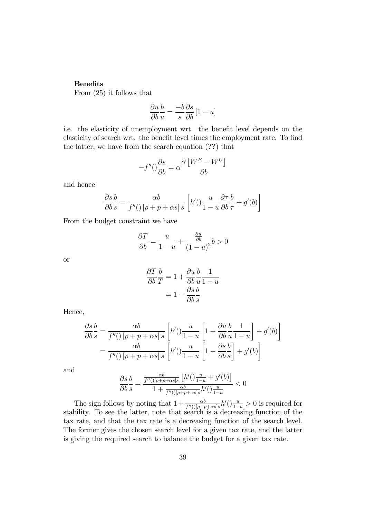#### Benefits

From (25) it follows that

$$
\frac{\partial u}{\partial b} \frac{b}{u} = \frac{-b}{s} \frac{\partial s}{\partial b} [1 - u]
$$

i.e. the elasticity of unemployment wrt. the benefit level depends on the elasticity of search wrt. the benefit level times the employment rate. To find the latter, we have from the search equation (??) that

$$
-f''() \frac{\partial s}{\partial b} = \alpha \frac{\partial \left[ W^E - W^U \right]}{\partial b}
$$

and hence

$$
\frac{\partial s}{\partial b} \frac{b}{s} = \frac{\alpha b}{f''(\left[\rho + p + \alpha s\right]s} \left[h'(\frac{u}{1 - u} \frac{\partial \tau}{\partial b} \frac{b}{\tau} + g'(b))\right]
$$

From the budget constraint we have

$$
\frac{\partial T}{\partial b} = \frac{u}{1-u} + \frac{\frac{\partial u}{\partial b}}{(1-u)^2}b > 0
$$

or

$$
\frac{\partial T}{\partial b} \frac{b}{T} = 1 + \frac{\partial u}{\partial b} \frac{b}{u} \frac{1}{1 - u}
$$

$$
= 1 - \frac{\partial s}{\partial b} \frac{b}{s}
$$

Hence,

$$
\frac{\partial s}{\partial b} \frac{b}{s} = \frac{\alpha b}{f''(\left[\rho + p + \alpha s\right]s} \left[h'(\left(\frac{u}{1-u}\left[1 + \frac{\partial u}{\partial b} \frac{b}{u} \frac{1}{1-u}\right] + g'(b)\right] \right]
$$

$$
= \frac{\alpha b}{f''(\left[\rho + p + \alpha s\right]s} \left[h'(\left(\frac{u}{1-u}\left[1 - \frac{\partial s}{\partial b} \frac{b}{s}\right] + g'(b)\right]
$$

and

$$
\frac{\partial s}{\partial b} \frac{b}{s} = \frac{\frac{\alpha b}{f''(\left[\rho + p + \alpha s\right]s}\left[h'\right)\frac{u}{1-u} + g'(b)\right]}{1 + \frac{\alpha b}{f''(\left[\rho + p + \alpha s\right]s}h'(\left)\frac{u}{1-u}} < 0
$$

The sign follows by noting that  $1 + \frac{\alpha b}{f''(\sqrt{[\rho + p + \alpha s]}s}h'(\sqrt{\frac{u}{1-u}} > 0$  is required for stability. To see the latter, note that search is a decreasing function of the tax rate, and that the tax rate is a decreasing function of the search level. The former gives the chosen search level for a given tax rate, and the latter is giving the required search to balance the budget for a given tax rate.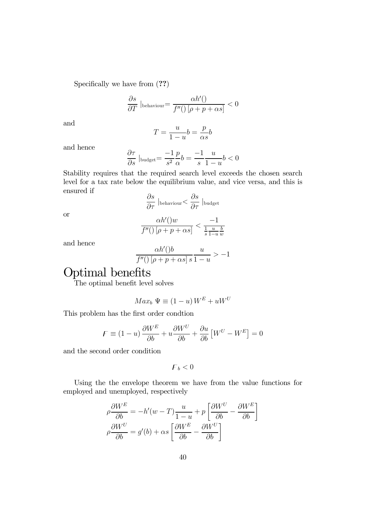Specifically we have from  $(??)$ 

$$
\frac{\partial s}{\partial T} \Big|_{\text{behaviour}} = \frac{\alpha h'()}{f''(\big) \left[\rho + p + \alpha s\right]} < 0
$$

and

$$
T = \frac{u}{1 - u}b = \frac{p}{\alpha s}b
$$

and hence

$$
\frac{\partial \tau}{\partial s} \Big|_{\text{budget}} = \frac{-1}{s^2} \frac{p}{\alpha} b = \frac{-1}{s} \frac{u}{1-u} b < 0
$$

Stability requires that the required search level exceeds the chosen search level for a tax rate below the equilibrium value, and vice versa, and this is ensured if

$$
\frac{\partial s}{\partial \tau} \Big|_{\text{behaviour}} < \frac{\partial s}{\partial \tau} \Big|_{\text{budget}}
$$

or

$$
\frac{\alpha h'(w)}{f''(w)\left[\rho+p+\alpha s\right]} < \frac{-1}{\frac{1}{s}\frac{u}{1-u}\frac{b}{w}}
$$

and hence

$$
\frac{\alpha h'(b)}{f''(\left(\left[\rho + p + \alpha s\right]s\right)} u > -1
$$

# Optimal benefits

The optimal benefit level solves

$$
Max_b \Psi \equiv (1 - u) W^E + uW^U
$$

This problem has the first order condtion

$$
F \equiv (1 - u) \frac{\partial W^E}{\partial b} + u \frac{\partial W^U}{\partial b} + \frac{\partial u}{\partial b} \left[ W^U - W^E \right] = 0
$$

and the second order condition

$$
F_b < 0
$$

Using the the envelope theorem we have from the value functions for employed and unemployed, respectively

$$
\rho \frac{\partial W^E}{\partial b} = -h'(w - T) \frac{u}{1 - u} + p \left[ \frac{\partial W^U}{\partial b} - \frac{\partial W^E}{\partial b} \right]
$$

$$
\rho \frac{\partial W^U}{\partial b} = g'(b) + \alpha s \left[ \frac{\partial W^E}{\partial b} - \frac{\partial W^U}{\partial b} \right]
$$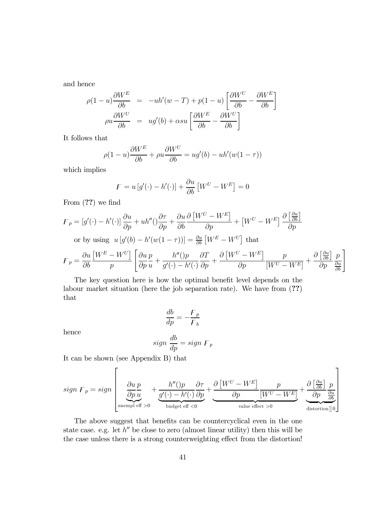and hence

$$
\rho(1-u)\frac{\partial W^E}{\partial b} = -uh'(w-T) + p(1-u)\left[\frac{\partial W^U}{\partial b} - \frac{\partial W^E}{\partial b}\right]
$$

$$
\rho u \frac{\partial W^U}{\partial b} = ug'(b) + \alpha su\left[\frac{\partial W^E}{\partial b} - \frac{\partial W^U}{\partial b}\right]
$$

It follows that

$$
\rho(1-u)\frac{\partial W^E}{\partial b} + \rho u \frac{\partial W^U}{\partial b} = ug'(b) - uh'(w(1-\tau))
$$

which implies

$$
F = u[g'(\cdot) - h'(\cdot)] + \frac{\partial u}{\partial b} [W^U - W^E] = 0
$$

From (??) we find

$$
F_p = [g'(\cdot) - h'(\cdot)] \frac{\partial u}{\partial p} + uh''(\cdot) \frac{\partial \tau}{\partial p} + \frac{\partial u}{\partial b} \frac{\partial [W^U - W^E]}{\partial p} + [W^U - W^E] \frac{\partial [\frac{\partial u}{\partial b}]}{\partial p}
$$
  
or by using  $u[g'(b) - h'(w(1 - \tau))] = \frac{\partial u}{\partial b} [W^E - W^U]$  that  

$$
F_p = \frac{\partial u}{\partial b} \frac{[W^E - W^U]}{p} \left[ \frac{\partial u}{\partial p} \frac{p}{u} + \frac{h''(\cdot)p}{g'(\cdot) - h'(\cdot)} \frac{\partial T}{\partial p} + \frac{\partial [W^U - W^E]}{\partial p} \frac{p}{[W^U - W^E]} + \frac{\partial [\frac{\partial u}{\partial b}]}{\partial p} \frac{p}{\frac{\partial u}{\partial b}} \right]
$$

The key question here is how the optimal benefit level depends on the labour market situation (here the job separation rate). We have from (??) that

$$
\frac{db}{dp} = -\frac{F_p}{F_b}
$$

hence

$$
sign \frac{db}{dp} = sign \ F_p
$$

It can be shown (see Appendix B) that

$$
sign F_p = sign \left[ \underbrace{\frac{\partial u}{\partial p} \frac{p}{u}}_{\text{unempl eff } > 0} + \underbrace{\frac{h''(p)}{g'(\cdot) - h'(\cdot)} \frac{\partial \tau}{\partial p}}_{\text{budget eff } < 0} + \underbrace{\frac{\partial [W^U - W^E]}{\partial p} \frac{p}{[W^U - W^E]}}_{\text{value effect } > 0} + \underbrace{\frac{\partial \left[\frac{\partial u}{\partial b}\right]}{\partial p} \frac{p}{\frac{\partial u}{\partial b}}}{\text{distortion} \leq 0} \right]
$$

The above suggest that benefits can be countercyclical even in the one state case. e.g. let  $h''$  be close to zero (almost linear utility) then this will be the case unless there is a strong counterweighting effect from the distortion!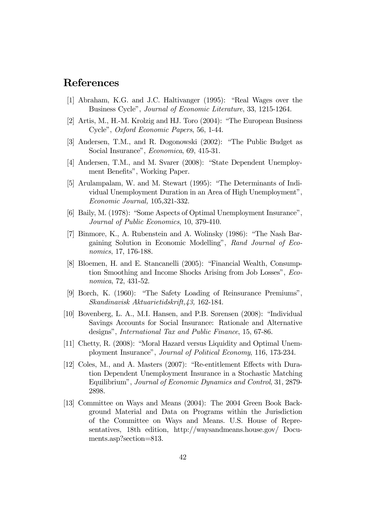# References

- [1] Abraham, K.G. and J.C. Haltivanger (1995): "Real Wages over the Business Cycle", Journal of Economic Literature, 33, 1215-1264.
- [2] Artis, M., H.-M. Krolzig and HJ. Toro (2004): "The European Business Cycle", Oxford Economic Papers, 56, 1-44.
- [3] Andersen, T.M., and R. Dogonowski (2002): "The Public Budget as Social Insurance", Economica, 69, 415-31.
- [4] Andersen, T.M., and M. Svarer (2008): "State Dependent Unemployment Benefits", Working Paper.
- [5] Arulampalam, W. and M. Stewart (1995): "The Determinants of Individual Unemployment Duration in an Area of High Unemployment", Economic Journal, 105,321-332.
- [6] Baily, M. (1978): "Some Aspects of Optimal Unemployment Insurance", Journal of Public Economics, 10, 379-410.
- [7] Binmore, K., A. Rubenstein and A. Wolinsky (1986): "The Nash Bargaining Solution in Economic Modelling", Rand Journal of Economics, 17, 176-188.
- [8] Bloemen, H. and E. Stancanelli (2005): "Financial Wealth, Consumption Smoothing and Income Shocks Arising from Job Losses", Economica, 72, 431-52.
- [9] Borch, K. (1960): "The Safety Loading of Reinsurance Premiums", Skandinavisk Aktuarietidskrift,43, 162-184.
- [10] Bovenberg, L. A., M.I. Hansen, and P.B. Sørensen (2008): "Individual Savings Accounts for Social Insurance: Rationale and Alternative designs", International Tax and Public Finance, 15, 67-86.
- [11] Chetty, R. (2008): "Moral Hazard versus Liquidity and Optimal Unemployment Insurance", Journal of Political Economy, 116, 173-234.
- [12] Coles, M., and A. Masters (2007): "Re-entitlement Effects with Duration Dependent Unemployment Insurance in a Stochastic Matching Equilibrium", Journal of Economic Dynamics and Control, 31, 2879- 2898.
- [13] Committee on Ways and Means (2004): The 2004 Green Book Background Material and Data on Programs within the Jurisdiction of the Committee on Ways and Means. U.S. House of Representatives, 18th edition, http://waysandmeans.house.gov/ Documents.asp?section=813.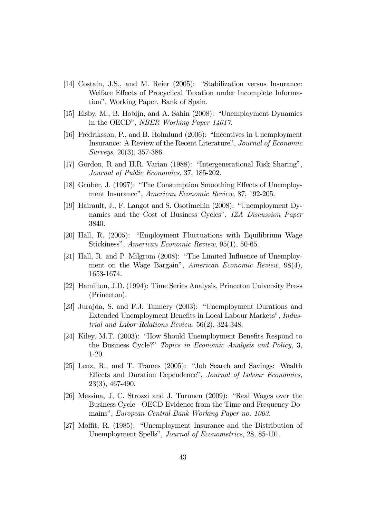- [14] Costain, J.S., and M. Reier (2005): "Stabilization versus Insurance: Welfare Effects of Procyclical Taxation under Incomplete Information", Working Paper, Bank of Spain.
- [15] Elsby, M., B. Hobijn, and A. Sahin (2008): "Unemployment Dynamics in the OECD", NBER Working Paper 14617.
- [16] Fredriksson, P., and B. Holmlund (2006): "Incentives in Unemployment Insurance: A Review of the Recent Literature", Journal of Economic Surveys, 20(3), 357-386.
- [17] Gordon, R and H.R. Varian (1988): "Intergenerational Risk Sharing", Journal of Public Economics, 37, 185-202.
- [18] Gruber, J. (1997): "The Consumption Smoothing Effects of Unemployment Insurance", American Economic Review, 87, 192-205.
- [19] Hairault, J., F. Langot and S. Osotimehin (2008): "Unemployment Dynamics and the Cost of Business Cycles", IZA Discussion Paper 3840.
- [20] Hall, R. (2005): "Employment Fluctuations with Equilibrium Wage Stickiness", American Economic Review, 95(1), 50-65.
- [21] Hall, R. and P. Milgrom (2008): "The Limited Influence of Unemployment on the Wage Bargain", American Economic Review, 98(4), 1653-1674.
- [22] Hamilton, J.D. (1994): Time Series Analysis, Princeton University Press (Princeton).
- [23] Jurajda, S. and F.J. Tannery (2003): "Unemployment Durations and Extended Unemployment Benefits in Local Labour Markets", Industrial and Labor Relations Review, 56(2), 324-348.
- [24] Kiley, M.T. (2003): "How Should Unemployment Benefits Respond to the Business Cycle?" Topics in Economic Analysis and Policy, 3, 1-20.
- [25] Lenz, R., and T. Tranæs (2005): "Job Search and Savings: Wealth Effects and Duration Dependence", Journal of Labour Economics, 23(3), 467-490.
- [26] Messina, J, C. Strozzi and J. Turunen (2009): "Real Wages over the Business Cycle - OECD Evidence from the Time and Frequency Domains", European Central Bank Working Paper no. 1003.
- [27] Moffit, R. (1985): "Unemployment Insurance and the Distribution of Unemployment Spells", Journal of Econometrics, 28, 85-101.